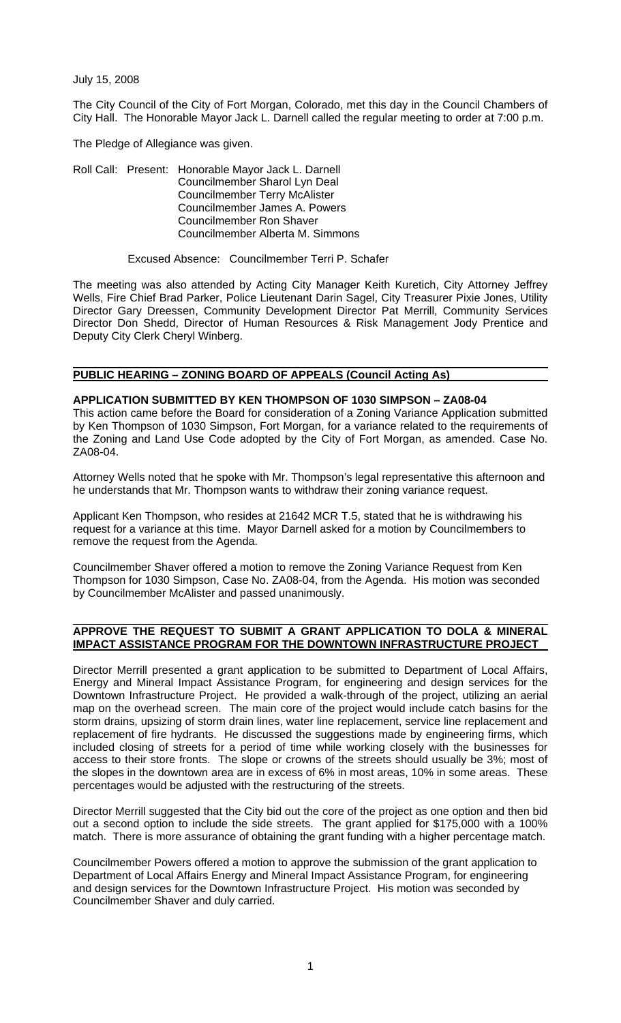July 15, 2008

The City Council of the City of Fort Morgan, Colorado, met this day in the Council Chambers of City Hall. The Honorable Mayor Jack L. Darnell called the regular meeting to order at 7:00 p.m.

The Pledge of Allegiance was given.

Roll Call: Present: Honorable Mayor Jack L. Darnell Councilmember Sharol Lyn Deal Councilmember Terry McAlister Councilmember James A. Powers Councilmember Ron Shaver Councilmember Alberta M. Simmons

Excused Absence: Councilmember Terri P. Schafer

The meeting was also attended by Acting City Manager Keith Kuretich, City Attorney Jeffrey Wells, Fire Chief Brad Parker, Police Lieutenant Darin Sagel, City Treasurer Pixie Jones, Utility Director Gary Dreessen, Community Development Director Pat Merrill, Community Services Director Don Shedd, Director of Human Resources & Risk Management Jody Prentice and Deputy City Clerk Cheryl Winberg.

## **PUBLIC HEARING – ZONING BOARD OF APPEALS (Council Acting As)**

#### **APPLICATION SUBMITTED BY KEN THOMPSON OF 1030 SIMPSON – ZA08-04**

This action came before the Board for consideration of a Zoning Variance Application submitted by Ken Thompson of 1030 Simpson, Fort Morgan, for a variance related to the requirements of the Zoning and Land Use Code adopted by the City of Fort Morgan, as amended. Case No. ZA08-04.

Attorney Wells noted that he spoke with Mr. Thompson's legal representative this afternoon and he understands that Mr. Thompson wants to withdraw their zoning variance request.

Applicant Ken Thompson, who resides at 21642 MCR T.5, stated that he is withdrawing his request for a variance at this time. Mayor Darnell asked for a motion by Councilmembers to remove the request from the Agenda.

Councilmember Shaver offered a motion to remove the Zoning Variance Request from Ken Thompson for 1030 Simpson, Case No. ZA08-04, from the Agenda. His motion was seconded by Councilmember McAlister and passed unanimously.

## **APPROVE THE REQUEST TO SUBMIT A GRANT APPLICATION TO DOLA & MINERAL IMPACT ASSISTANCE PROGRAM FOR THE DOWNTOWN INFRASTRUCTURE PROJECT**

Director Merrill presented a grant application to be submitted to Department of Local Affairs, Energy and Mineral Impact Assistance Program, for engineering and design services for the Downtown Infrastructure Project. He provided a walk-through of the project, utilizing an aerial map on the overhead screen. The main core of the project would include catch basins for the storm drains, upsizing of storm drain lines, water line replacement, service line replacement and replacement of fire hydrants. He discussed the suggestions made by engineering firms, which included closing of streets for a period of time while working closely with the businesses for access to their store fronts. The slope or crowns of the streets should usually be 3%; most of the slopes in the downtown area are in excess of 6% in most areas, 10% in some areas. These percentages would be adjusted with the restructuring of the streets.

Director Merrill suggested that the City bid out the core of the project as one option and then bid out a second option to include the side streets. The grant applied for \$175,000 with a 100% match. There is more assurance of obtaining the grant funding with a higher percentage match.

Councilmember Powers offered a motion to approve the submission of the grant application to Department of Local Affairs Energy and Mineral Impact Assistance Program, for engineering and design services for the Downtown Infrastructure Project. His motion was seconded by Councilmember Shaver and duly carried.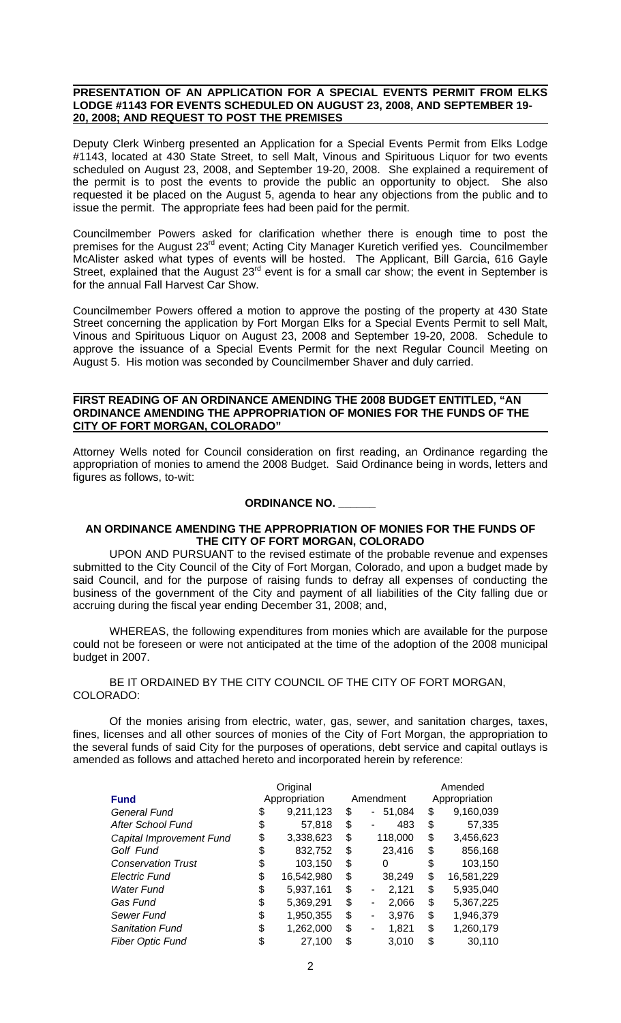#### **PRESENTATION OF AN APPLICATION FOR A SPECIAL EVENTS PERMIT FROM ELKS**  LODGE #1143 FOR EVENTS SCHEDULED ON AUGUST 23, 2008, AND SEPTEMBER 19-**20, 2008; AND REQUEST TO POST THE PREMISES**

Deputy Clerk Winberg presented an Application for a Special Events Permit from Elks Lodge #1143, located at 430 State Street, to sell Malt, Vinous and Spirituous Liquor for two events scheduled on August 23, 2008, and September 19-20, 2008. She explained a requirement of the permit is to post the events to provide the public an opportunity to object. She also requested it be placed on the August 5, agenda to hear any objections from the public and to issue the permit. The appropriate fees had been paid for the permit.

Councilmember Powers asked for clarification whether there is enough time to post the premises for the August 23<sup>rd</sup> event; Acting City Manager Kuretich verified yes. Councilmember McAlister asked what types of events will be hosted. The Applicant, Bill Garcia, 616 Gayle Street, explained that the August 23<sup>rd</sup> event is for a small car show; the event in September is for the annual Fall Harvest Car Show.

Councilmember Powers offered a motion to approve the posting of the property at 430 State Street concerning the application by Fort Morgan Elks for a Special Events Permit to sell Malt, Vinous and Spirituous Liquor on August 23, 2008 and September 19-20, 2008. Schedule to approve the issuance of a Special Events Permit for the next Regular Council Meeting on August 5. His motion was seconded by Councilmember Shaver and duly carried.

#### **FIRST READING OF AN ORDINANCE AMENDING THE 2008 BUDGET ENTITLED, "AN ORDINANCE AMENDING THE APPROPRIATION OF MONIES FOR THE FUNDS OF THE CITY OF FORT MORGAN, COLORADO"**

Attorney Wells noted for Council consideration on first reading, an Ordinance regarding the appropriation of monies to amend the 2008 Budget. Said Ordinance being in words, letters and figures as follows, to-wit:

## **ORDINANCE NO. \_\_\_\_\_\_**

#### **AN ORDINANCE AMENDING THE APPROPRIATION OF MONIES FOR THE FUNDS OF THE CITY OF FORT MORGAN, COLORADO**

 UPON AND PURSUANT to the revised estimate of the probable revenue and expenses submitted to the City Council of the City of Fort Morgan, Colorado, and upon a budget made by said Council, and for the purpose of raising funds to defray all expenses of conducting the business of the government of the City and payment of all liabilities of the City falling due or accruing during the fiscal year ending December 31, 2008; and,

 WHEREAS, the following expenditures from monies which are available for the purpose could not be foreseen or were not anticipated at the time of the adoption of the 2008 municipal budget in 2007.

 BE IT ORDAINED BY THE CITY COUNCIL OF THE CITY OF FORT MORGAN, COLORADO:

 Of the monies arising from electric, water, gas, sewer, and sanitation charges, taxes, fines, licenses and all other sources of monies of the City of Fort Morgan, the appropriation to the several funds of said City for the purposes of operations, debt service and capital outlays is amended as follows and attached hereto and incorporated herein by reference:

|                           | Original         |           |                          | Amended          |  |
|---------------------------|------------------|-----------|--------------------------|------------------|--|
| <b>Fund</b>               | Appropriation    | Amendment |                          | Appropriation    |  |
| General Fund              | \$<br>9,211,123  | \$        | 51,084<br>$\blacksquare$ | \$<br>9,160,039  |  |
| After School Fund         | \$<br>57,818     | \$        | 483                      | \$<br>57,335     |  |
| Capital Improvement Fund  | \$<br>3,338,623  | \$        | 118,000                  | \$<br>3,456,623  |  |
| Golf Fund                 | \$<br>832,752    | \$        | 23,416                   | \$<br>856,168    |  |
| <b>Conservation Trust</b> | \$<br>103,150    | \$        | 0                        | \$<br>103,150    |  |
| <b>Electric Fund</b>      | \$<br>16,542,980 | \$        | 38,249                   | \$<br>16,581,229 |  |
| <b>Water Fund</b>         | \$<br>5,937,161  | \$        | 2,121<br>٠               | \$<br>5,935,040  |  |
| Gas Fund                  | \$<br>5,369,291  | \$        | 2,066<br>۰               | \$<br>5,367,225  |  |
| Sewer Fund                | \$<br>1,950,355  | \$        | 3,976<br>۰               | \$<br>1,946,379  |  |
| <b>Sanitation Fund</b>    | \$<br>1,262,000  | \$        | 1,821<br>۰               | \$<br>1,260,179  |  |
| <b>Fiber Optic Fund</b>   | \$<br>27,100     | \$        | 3,010                    | \$<br>30,110     |  |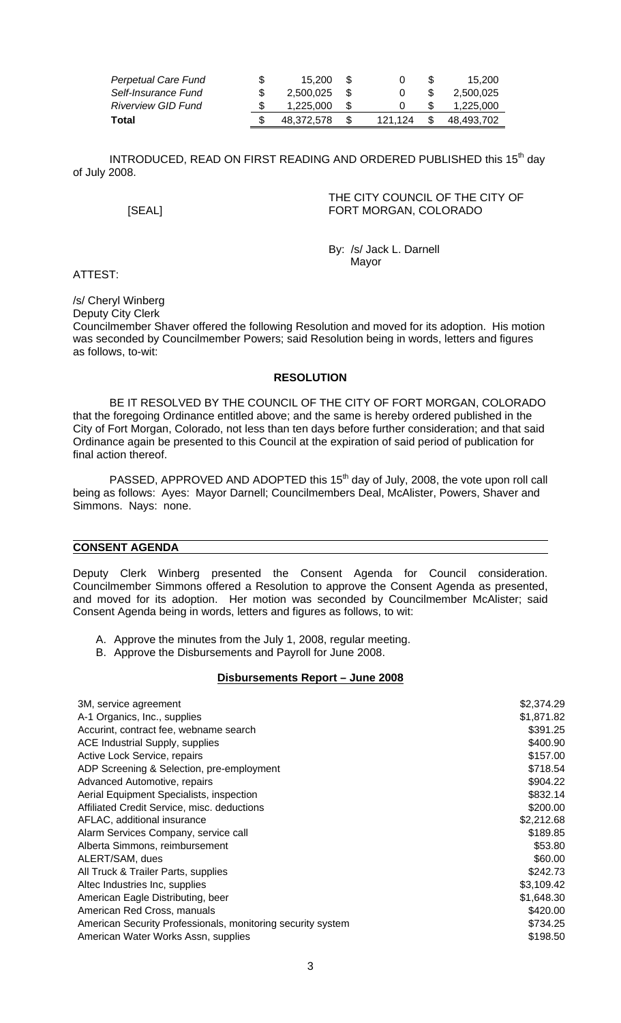| Perpetual Care Fund | \$. | 15.200     | - \$ |         |      | 15.200     |
|---------------------|-----|------------|------|---------|------|------------|
| Self-Insurance Fund |     | 2.500.025  |      |         |      | 2.500.025  |
| Riverview GID Fund  |     | 1.225.000  | - SS |         |      | 1.225.000  |
| Total               |     | 48.372.578 |      | 121.124 | - SS | 48.493.702 |

INTRODUCED, READ ON FIRST READING AND ORDERED PUBLISHED this 15<sup>th</sup> day of July 2008.

 THE CITY COUNCIL OF THE CITY OF [SEAL] FORT MORGAN, COLORADO

 By: /s/ Jack L. Darnell Mayor (1999) and the state of the Mayor (1999) and the Mayor

ATTEST:

/s/ Cheryl Winberg

Deputy City Clerk Councilmember Shaver offered the following Resolution and moved for its adoption. His motion was seconded by Councilmember Powers; said Resolution being in words, letters and figures as follows, to-wit:

#### **RESOLUTION**

 BE IT RESOLVED BY THE COUNCIL OF THE CITY OF FORT MORGAN, COLORADO that the foregoing Ordinance entitled above; and the same is hereby ordered published in the City of Fort Morgan, Colorado, not less than ten days before further consideration; and that said Ordinance again be presented to this Council at the expiration of said period of publication for final action thereof.

PASSED, APPROVED AND ADOPTED this 15<sup>th</sup> day of July, 2008, the vote upon roll call being as follows: Ayes: Mayor Darnell; Councilmembers Deal, McAlister, Powers, Shaver and Simmons. Nays: none.

#### **CONSENT AGENDA**

Deputy Clerk Winberg presented the Consent Agenda for Council consideration. Councilmember Simmons offered a Resolution to approve the Consent Agenda as presented, and moved for its adoption. Her motion was seconded by Councilmember McAlister; said Consent Agenda being in words, letters and figures as follows, to wit:

- A. Approve the minutes from the July 1, 2008, regular meeting.
- B. Approve the Disbursements and Payroll for June 2008.

#### **Disbursements Report – June 2008**

| 3M, service agreement                                       | \$2,374.29 |
|-------------------------------------------------------------|------------|
| A-1 Organics, Inc., supplies                                | \$1,871.82 |
| Accurint, contract fee, webname search                      | \$391.25   |
| ACE Industrial Supply, supplies                             | \$400.90   |
| Active Lock Service, repairs                                | \$157.00   |
| ADP Screening & Selection, pre-employment                   | \$718.54   |
| Advanced Automotive, repairs                                | \$904.22   |
| Aerial Equipment Specialists, inspection                    | \$832.14   |
| Affiliated Credit Service, misc. deductions                 | \$200.00   |
| AFLAC, additional insurance                                 | \$2,212.68 |
| Alarm Services Company, service call                        | \$189.85   |
| Alberta Simmons, reimbursement                              | \$53.80    |
| ALERT/SAM, dues                                             | \$60.00    |
| All Truck & Trailer Parts, supplies                         | \$242.73   |
| Altec Industries Inc, supplies                              | \$3,109.42 |
| American Eagle Distributing, beer                           | \$1,648.30 |
| American Red Cross, manuals                                 | \$420.00   |
| American Security Professionals, monitoring security system | \$734.25   |
| American Water Works Assn, supplies                         | \$198.50   |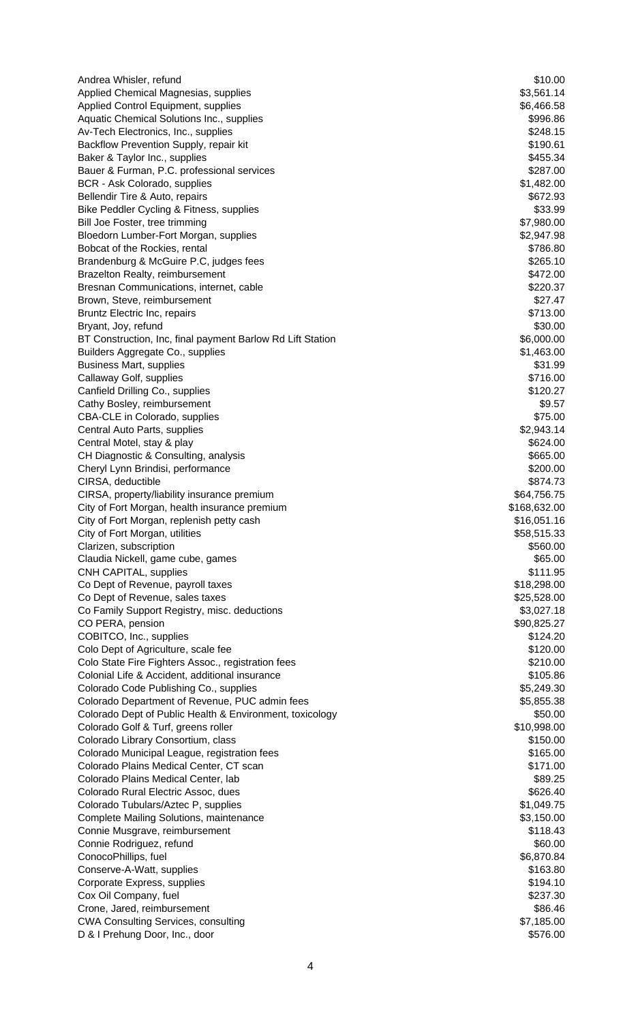| Andrea Whisler, refund                                                         | \$10.00               |
|--------------------------------------------------------------------------------|-----------------------|
| Applied Chemical Magnesias, supplies                                           | \$3,561.14            |
| Applied Control Equipment, supplies                                            | \$6,466.58            |
| Aquatic Chemical Solutions Inc., supplies                                      | \$996.86              |
| Av-Tech Electronics, Inc., supplies                                            | \$248.15              |
| Backflow Prevention Supply, repair kit                                         | \$190.61<br>\$455.34  |
| Baker & Taylor Inc., supplies<br>Bauer & Furman, P.C. professional services    | \$287.00              |
| BCR - Ask Colorado, supplies                                                   | \$1,482.00            |
| Bellendir Tire & Auto, repairs                                                 | \$672.93              |
| Bike Peddler Cycling & Fitness, supplies                                       | \$33.99               |
| Bill Joe Foster, tree trimming                                                 | \$7,980.00            |
| Bloedorn Lumber-Fort Morgan, supplies                                          | \$2,947.98            |
| Bobcat of the Rockies, rental                                                  | \$786.80              |
| Brandenburg & McGuire P.C, judges fees                                         | \$265.10              |
| Brazelton Realty, reimbursement                                                | \$472.00              |
| Bresnan Communications, internet, cable                                        | \$220.37              |
| Brown, Steve, reimbursement                                                    | \$27.47               |
| Bruntz Electric Inc, repairs                                                   | \$713.00              |
| Bryant, Joy, refund                                                            | \$30.00               |
| BT Construction, Inc, final payment Barlow Rd Lift Station                     | \$6,000.00            |
| Builders Aggregate Co., supplies                                               | \$1,463.00<br>\$31.99 |
| <b>Business Mart, supplies</b><br>Callaway Golf, supplies                      | \$716.00              |
| Canfield Drilling Co., supplies                                                | \$120.27              |
| Cathy Bosley, reimbursement                                                    | \$9.57                |
| CBA-CLE in Colorado, supplies                                                  | \$75.00               |
| Central Auto Parts, supplies                                                   | \$2,943.14            |
| Central Motel, stay & play                                                     | \$624.00              |
| CH Diagnostic & Consulting, analysis                                           | \$665.00              |
| Cheryl Lynn Brindisi, performance                                              | \$200.00              |
| CIRSA, deductible                                                              | \$874.73              |
| CIRSA, property/liability insurance premium                                    | \$64,756.75           |
| City of Fort Morgan, health insurance premium                                  | \$168,632.00          |
| City of Fort Morgan, replenish petty cash                                      | \$16,051.16           |
| City of Fort Morgan, utilities                                                 | \$58,515.33           |
| Clarizen, subscription                                                         | \$560.00              |
| Claudia Nickell, game cube, games<br>CNH CAPITAL, supplies                     | \$65.00<br>\$111.95   |
| Co Dept of Revenue, payroll taxes                                              | \$18,298.00           |
| Co Dept of Revenue, sales taxes                                                | \$25,528.00           |
| Co Family Support Registry, misc. deductions                                   | \$3,027.18            |
| CO PERA, pension                                                               | \$90,825.27           |
| COBITCO, Inc., supplies                                                        | \$124.20              |
| Colo Dept of Agriculture, scale fee                                            | \$120.00              |
| Colo State Fire Fighters Assoc., registration fees                             | \$210.00              |
| Colonial Life & Accident, additional insurance                                 | \$105.86              |
| Colorado Code Publishing Co., supplies                                         | \$5,249.30            |
| Colorado Department of Revenue, PUC admin fees                                 | \$5,855.38            |
| Colorado Dept of Public Health & Environment, toxicology                       | \$50.00               |
| Colorado Golf & Turf, greens roller                                            | \$10,998.00           |
| Colorado Library Consortium, class                                             | \$150.00              |
| Colorado Municipal League, registration fees                                   | \$165.00              |
| Colorado Plains Medical Center, CT scan<br>Colorado Plains Medical Center, lab | \$171.00              |
| Colorado Rural Electric Assoc, dues                                            | \$89.25<br>\$626.40   |
| Colorado Tubulars/Aztec P, supplies                                            | \$1,049.75            |
| Complete Mailing Solutions, maintenance                                        | \$3,150.00            |
| Connie Musgrave, reimbursement                                                 | \$118.43              |
| Connie Rodriguez, refund                                                       | \$60.00               |
| ConocoPhillips, fuel                                                           | \$6,870.84            |
| Conserve-A-Watt, supplies                                                      | \$163.80              |
| Corporate Express, supplies                                                    | \$194.10              |
| Cox Oil Company, fuel                                                          | \$237.30              |
| Crone, Jared, reimbursement                                                    | \$86.46               |
| <b>CWA Consulting Services, consulting</b>                                     | \$7,185.00            |
| D & I Prehung Door, Inc., door                                                 | \$576.00              |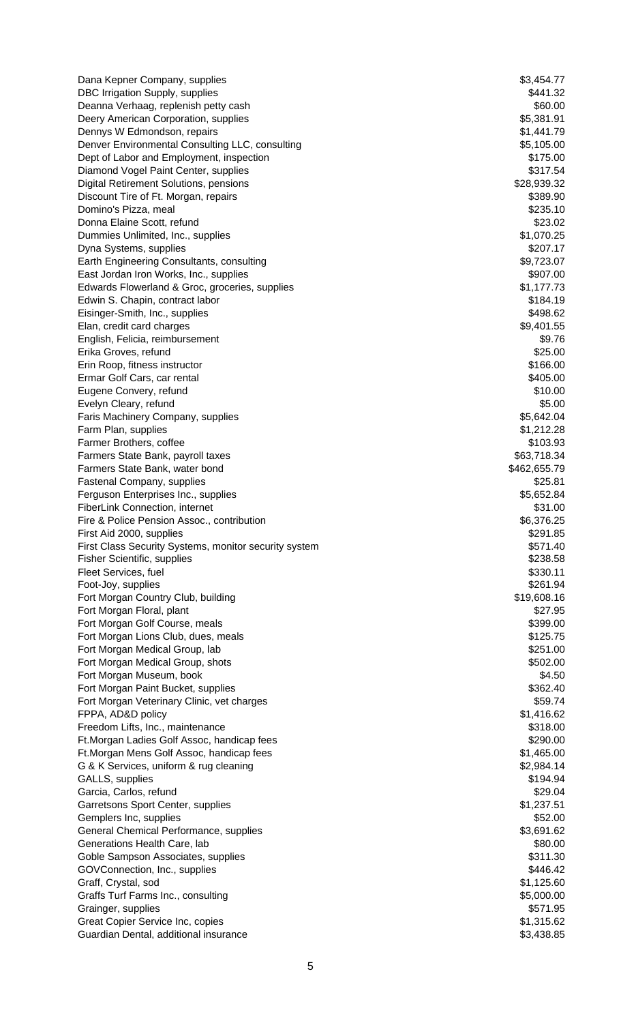Dana Kepner Company, supplies  $$3,454.77$ DBC Irrigation Supply, supplies  $$441.32$ Deanna Verhaag, replenish petty cash \$60.00 bits and \$60.00 bits and \$60.00 bits and \$60.00 bits and \$60.00 bits and \$60.00 bits and \$60.00 bits and \$60.00 bits and \$60.00 bits and \$60.00 bits and \$60.00 bits and \$60.00 bi Deery American Corporation, supplies  $$5,381.91$ Dennys W Edmondson, repairs \$1,441.79 Denver Environmental Consulting LLC, consulting  $\blacksquare$  \$5,105.00 Dept of Labor and Employment, inspection  $$175.00$ Diamond Vogel Paint Center, supplies **\$317.54** S317.54 Digital Retirement Solutions, pensions \$28,939.32 Discount Tire of Ft. Morgan, repairs  $$389.90$ Domino's Pizza, meal \$235.10 Donna Elaine Scott, refund \$23.02 Dummies Unlimited, Inc., supplies \$1,070.25 Dyna Systems, supplies \$207.17 Earth Engineering Consultants, consulting  $$9,723.07$ East Jordan Iron Works, Inc., supplies  $$907.00$ Edwards Flowerland & Groc, groceries, supplies  $$1,177.73$ Edwin S. Chapin, contract labor  $$184.19$ Eisinger-Smith, Inc., supplies \$498.62 Elan, credit card charges  $$9,401.55$ English, Felicia, reimbursement \$9.76 Erika Groves, refund \$25.00 Erin Roop, fitness instructor  $$166.00$ Ermar Golf Cars, car rental \$405.00 Eugene Convery, refund  $$10.00$ Evelyn Cleary, refund  $$5.00$ Faris Machinery Company, supplies  $$5,642.04$ Farm Plan, supplies  $$1,212.28$ Farmer Brothers, coffee  $$103.93$ Farmers State Bank, payroll taxes  $$63,718.34$ Farmers State Bank, water bond \$462,655.79 Fastenal Company, supplies  $$25.81$ Ferguson Enterprises Inc., supplies **\$5,652.84** FiberLink Connection, internet  $$31.00$ Fire & Police Pension Assoc., contribution  $$6,376.25$ First Aid 2000, supplies  $$291.85$ First Class Security Systems, monitor security system  $$571.40$ Fisher Scientific, supplies \$238.58 Fleet Services, fuel **\$330.11** and \$330.11 Foot-Joy, supplies \$261.94 Fort Morgan Country Club, building **\$19,608.16** \$19,608.16 Fort Morgan Floral, plant  $$27.95$ Fort Morgan Golf Course, meals **\$399.00 6.12 and 5.12 and 5.12 and 5.12 and 5.12 and 5.12 and 5.12 and 5.12 and 5.12 and 5.12 and 5.12 and 5.12 and 5.12 and 5.12 and 5.12 and 5.12 and 5.12 and 5.12 and 5.12 and 5.12 and** Fort Morgan Lions Club, dues, meals **\$125.75** and the state of the state  $$125.75$ Fort Morgan Medical Group, lab  $$251.00$ Fort Morgan Medical Group, shots  $$502.00$ Fort Morgan Museum, book \$4.50 Fort Morgan Paint Bucket, supplies **\$362.40** and \$362.40 Fort Morgan Veterinary Clinic, vet charges  $$59.74$ FPPA, AD&D policy \$1,416.62 Freedom Lifts, Inc., maintenance \$318.00 Ft.Morgan Ladies Golf Assoc, handicap fees \$290.00 Ft.Morgan Mens Golf Assoc, handicap fees \$1,465.00 G & K Services, uniform & rug cleaning  $$2,984.14$ GALLS, supplies \$194.94 Garcia, Carlos, refund \$29.04 Garretsons Sport Center, supplies  $$1,237.51$ Gemplers Inc, supplies  $$52.00$ General Chemical Performance, supplies  $$3,691.62$ Generations Health Care, lab  $$80.00$ Goble Sampson Associates, supplies  $$311.30$ GOVConnection, Inc., supplies  $$446.42$ Graff, Crystal, sod \$1,125.60 Graffs Turf Farms Inc., consulting  $$5,000.00$ Grainger, supplies  $$571.95$ Great Copier Service Inc, copies  $$1,315.62$ Guardian Dental, additional insurance **\$3,438.85**  $\sim$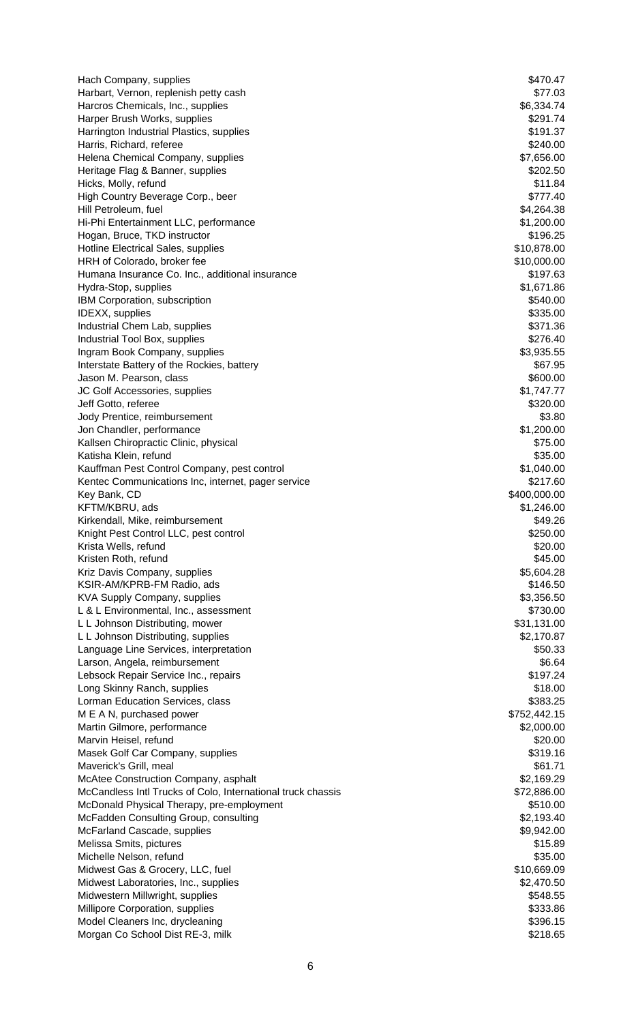Hach Company, supplies  $$470.47$ Harbart, Vernon, replenish petty cash  $$77.03$ Harcros Chemicals, Inc., supplies  $$6,334.74$ Harper Brush Works, supplies  $$291.74$ Harrington Industrial Plastics, supplies **\$191.37** and the state of the state of the state of the state of the state of the state of the state of the state of the state of the state of the state of the state of the state o Harris, Richard, referee  $$240.00$ Helena Chemical Company, supplies  $$7,656.00$ Heritage Flag & Banner, supplies  $$202.50$ Hicks, Molly, refund  $$11.84$ High Country Beverage Corp., beer \$777.40 Hill Petroleum, fuel **\$4,264.38** Straight and the set of the set of the set of the set of the set of the set of the set of the set of the set of the set of the set of the set of the set of the set of the set of the set of Hi-Phi Entertainment LLC, performance \$1,200.00 Hogan, Bruce, TKD instructor  $$196.25$ Hotline Electrical Sales, supplies  $$10,878.00$ HRH of Colorado, broker fee  $$10,000.00$ Humana Insurance Co. Inc., additional insurance  $\frac{3197.63}{2}$ Hydra-Stop, supplies  $$1,671.86$ IBM Corporation, subscription  $$540.00$ IDEXX, supplies  $$335.00$ Industrial Chem Lab, supplies  $$371.36$ Industrial Tool Box, supplies  $$276.40$ Ingram Book Company, supplies  $$3,935.55$ Interstate Battery of the Rockies, battery **Example 2018 67.95 \$67.95** Jason M. Pearson, class \$600.00 JC Golf Accessories, supplies  $$1,747.77$ Jeff Gotto, referee \$320.00 Jody Prentice, reimbursement \$3.80 Jon Chandler, performance \$1,200.00 Kallsen Chiropractic Clinic, physical  $$75.00$ Katisha Klein, refund \$35.00 Kauffman Pest Control Company, pest control  $\blacksquare$ Kentec Communications Inc, internet, pager service  $$217.60$ Key Bank, CD \$400,000.00 KFTM/KBRU, ads \$1,246.00 Kirkendall, Mike, reimbursement  $$49.26$ Knight Pest Control LLC, pest control  $$250.00$ Krista Wells, refund \$20.00 Kristen Roth, refund \$45.00 Kriz Davis Company, supplies **\$5,604.28** S5,604.28 KSIR-AM/KPRB-FM Radio, ads \$146.50 KVA Supply Company, supplies  $$3,356.50$ L & L Environmental, Inc., assessment  $$730.00$ L L Johnson Distributing, mower  $$31,131.00$ L L Johnson Distributing, supplies  $$2,170.87$ Language Line Services, interpretation  $$50.33$ Larson, Angela, reimbursement  $$6.64$ Lebsock Repair Service Inc., repairs \$197.24 Long Skinny Ranch, supplies  $$18.00$ Lorman Education Services, class  $$383.25$ M E A N, purchased power \$752,442.15 Martin Gilmore, performance  $$2,000.00$ Marvin Heisel, refund  $$20.00$ Masek Golf Car Company, supplies  $$319.16$ Maverick's Grill, meal **\$61.71** McAtee Construction Company, asphalt  $$2,169.29$ McCandless Intl Trucks of Colo, International truck chassis \$72,886.00 McDonald Physical Therapy, pre-employment  $$510.00$ McFadden Consulting Group, consulting  $$2,193.40$ McFarland Cascade, supplies  $$9,942.00$ Melissa Smits, pictures \$15.89 Michelle Nelson, refund  $$35.00$ Midwest Gas & Grocery, LLC, fuel \$10,669.09 Midwest Laboratories, Inc., supplies  $$2,470.50$ Midwestern Millwright, supplies **\$548.55** and the state of the state of the state of the state of the state of the state of the state of the state of the state of the state of the state of the state of the state of the sta Millipore Corporation, supplies **\$333.86**  $$333.86$ Model Cleaners Inc, drycleaning  $$396.15$ Morgan Co School Dist RE-3, milk  $$218.65$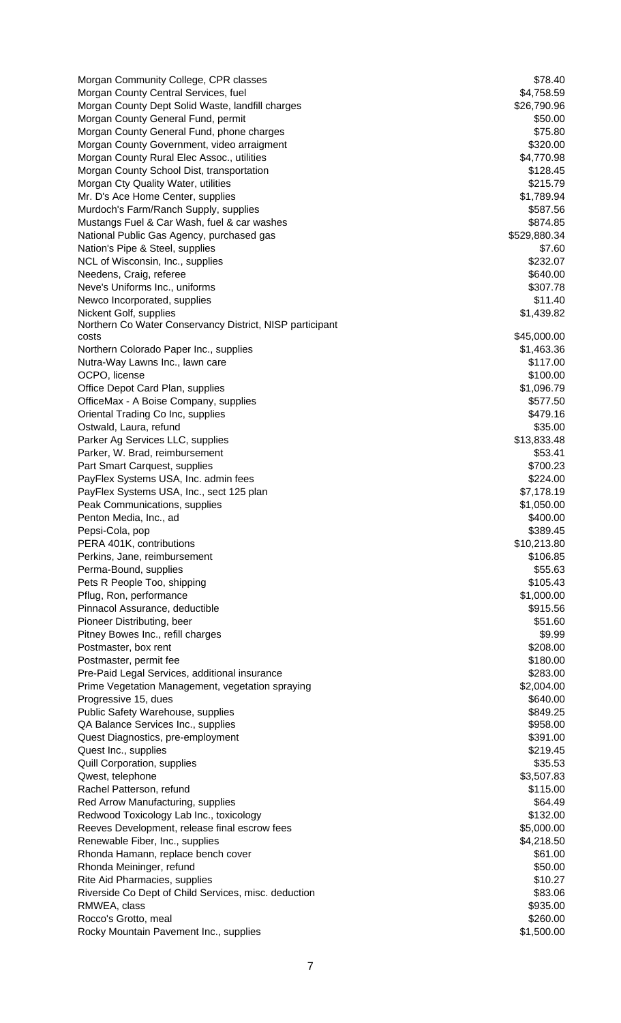| Morgan Community College, CPR classes                                                   | \$78.40                |
|-----------------------------------------------------------------------------------------|------------------------|
| Morgan County Central Services, fuel                                                    | \$4,758.59             |
| Morgan County Dept Solid Waste, landfill charges                                        | \$26,790.96            |
| Morgan County General Fund, permit                                                      | \$50.00                |
| Morgan County General Fund, phone charges                                               | \$75.80                |
| Morgan County Government, video arraigment                                              | \$320.00               |
| Morgan County Rural Elec Assoc., utilities<br>Morgan County School Dist, transportation | \$4,770.98<br>\$128.45 |
| Morgan Cty Quality Water, utilities                                                     | \$215.79               |
| Mr. D's Ace Home Center, supplies                                                       | \$1,789.94             |
| Murdoch's Farm/Ranch Supply, supplies                                                   | \$587.56               |
| Mustangs Fuel & Car Wash, fuel & car washes                                             | \$874.85               |
| National Public Gas Agency, purchased gas                                               | \$529,880.34           |
| Nation's Pipe & Steel, supplies                                                         | \$7.60                 |
| NCL of Wisconsin, Inc., supplies                                                        | \$232.07               |
| Needens, Craig, referee                                                                 | \$640.00               |
| Neve's Uniforms Inc., uniforms                                                          | \$307.78               |
| Newco Incorporated, supplies                                                            | \$11.40                |
| Nickent Golf, supplies                                                                  | \$1,439.82             |
| Northern Co Water Conservancy District, NISP participant<br>costs                       | \$45,000.00            |
| Northern Colorado Paper Inc., supplies                                                  | \$1,463.36             |
| Nutra-Way Lawns Inc., lawn care                                                         | \$117.00               |
| OCPO, license                                                                           | \$100.00               |
| Office Depot Card Plan, supplies                                                        | \$1,096.79             |
| OfficeMax - A Boise Company, supplies                                                   | \$577.50               |
| Oriental Trading Co Inc, supplies                                                       | \$479.16               |
| Ostwald, Laura, refund                                                                  | \$35.00                |
| Parker Ag Services LLC, supplies                                                        | \$13,833.48            |
| Parker, W. Brad, reimbursement                                                          | \$53.41                |
| Part Smart Carquest, supplies                                                           | \$700.23               |
| PayFlex Systems USA, Inc. admin fees                                                    | \$224.00               |
| PayFlex Systems USA, Inc., sect 125 plan                                                | \$7,178.19             |
| Peak Communications, supplies                                                           | \$1,050.00             |
| Penton Media, Inc., ad<br>Pepsi-Cola, pop                                               | \$400.00<br>\$389.45   |
| PERA 401K, contributions                                                                | \$10,213.80            |
| Perkins, Jane, reimbursement                                                            | \$106.85               |
| Perma-Bound, supplies                                                                   | \$55.63                |
| Pets R People Too, shipping                                                             | \$105.43               |
| Pflug, Ron, performance                                                                 | \$1,000.00             |
| Pinnacol Assurance, deductible                                                          | \$915.56               |
| Pioneer Distributing, beer                                                              | \$51.60                |
| Pitney Bowes Inc., refill charges                                                       | \$9.99                 |
| Postmaster, box rent                                                                    | \$208.00               |
| Postmaster, permit fee                                                                  | \$180.00               |
| Pre-Paid Legal Services, additional insurance                                           | \$283.00               |
| Prime Vegetation Management, vegetation spraying                                        | \$2,004.00             |
| Progressive 15, dues                                                                    | \$640.00               |
| Public Safety Warehouse, supplies                                                       | \$849.25<br>\$958.00   |
| QA Balance Services Inc., supplies<br>Quest Diagnostics, pre-employment                 | \$391.00               |
| Quest Inc., supplies                                                                    | \$219.45               |
| <b>Quill Corporation, supplies</b>                                                      | \$35.53                |
| Qwest, telephone                                                                        | \$3,507.83             |
| Rachel Patterson, refund                                                                | \$115.00               |
| Red Arrow Manufacturing, supplies                                                       | \$64.49                |
| Redwood Toxicology Lab Inc., toxicology                                                 | \$132.00               |
| Reeves Development, release final escrow fees                                           | \$5,000.00             |
| Renewable Fiber, Inc., supplies                                                         | \$4,218.50             |
| Rhonda Hamann, replace bench cover                                                      | \$61.00                |
| Rhonda Meininger, refund                                                                | \$50.00                |
| Rite Aid Pharmacies, supplies                                                           | \$10.27                |
| Riverside Co Dept of Child Services, misc. deduction                                    | \$83.06                |
| RMWEA, class                                                                            | \$935.00               |
| Rocco's Grotto, meal                                                                    | \$260.00<br>\$1,500.00 |
| Rocky Mountain Pavement Inc., supplies                                                  |                        |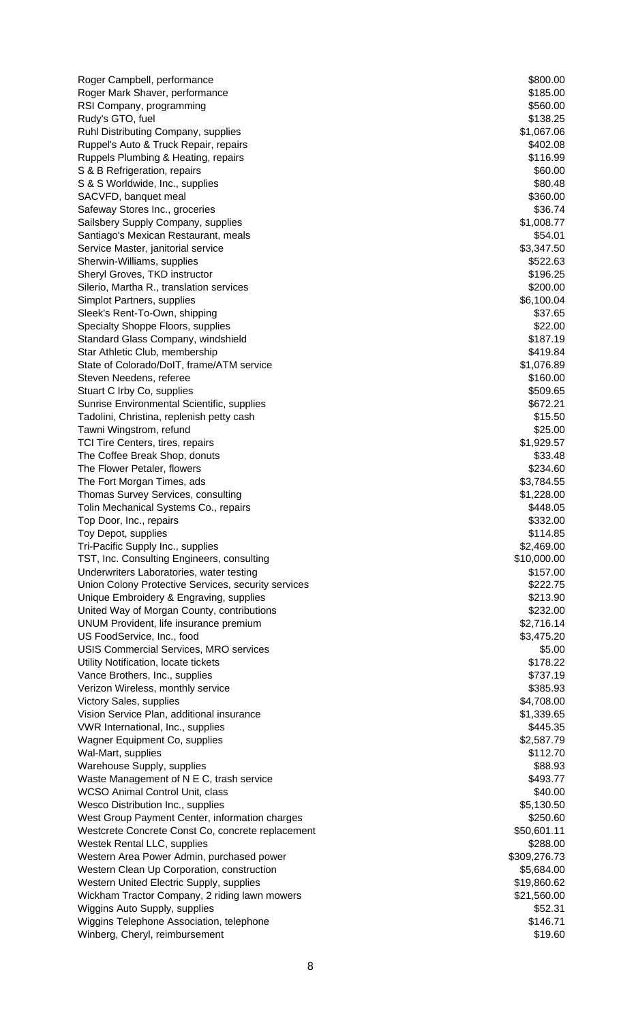Roger Campbell, performance  $$800.00$ Roger Mark Shaver, performance  $$185.00$ RSI Company, programming  $$560.00$ Rudy's GTO, fuel  $$138.25$ Ruhl Distributing Company, supplies  $$1,067.06$ Ruppel's Auto & Truck Repair, repairs  $$402.08$ Ruppels Plumbing & Heating, repairs \$116.99 S & B Refrigeration, repairs  $$60.00$ S & S Worldwide, Inc., supplies  $$80.48$ SACVFD, banquet meal \$360.00 Safeway Stores Inc., groceries  $$36.74$ Sailsbery Supply Company, supplies  $$1,008.77$ Santiago's Mexican Restaurant, meals \$54.01 Service Master, janitorial service  $$3,347.50$ Sherwin-Williams, supplies  $$522.63$ Sheryl Groves, TKD instructor  $$196.25$ Silerio, Martha R., translation services  $$200.00$ Simplot Partners, supplies  $$6,100.04$ Sleek's Rent-To-Own, shipping  $$37.65$ Specialty Shoppe Floors, supplies  $$22.00$ Standard Glass Company, windshield **\$187.19** \$187.19 Star Athletic Club, membership  $$419.84$ State of Colorado/DoIT, frame/ATM service \$1,076.89 Steven Needens, referee  $$160.00$ Stuart C Irby Co, supplies  $$509.65$ Sunrise Environmental Scientific, supplies  $$672.21$ Tadolini, Christina, replenish petty cash  $$15.50$ Tawni Wingstrom, refund \$25.00 TCI Tire Centers, tires, repairs  $$1,929.57$ The Coffee Break Shop, donuts **\$33.48** and the Coffee Break Shop, donuts **\$33.48** The Flower Petaler, flowers **\$234.60** S234.60 The Fort Morgan Times, ads **\$3,784.55** and \$3,784.55 Thomas Survey Services, consulting  $$1,228.00$ Tolin Mechanical Systems Co., repairs  $\frac{1}{2}$  and  $\frac{1}{2}$  and  $\frac{1}{2}$  and  $\frac{1}{2}$  and  $\frac{1}{2}$  and  $\frac{1}{2}$  and  $\frac{1}{2}$  and  $\frac{1}{2}$  and  $\frac{1}{2}$  and  $\frac{1}{2}$  and  $\frac{1}{2}$  and  $\frac{1}{2}$  and  $\frac{1}{2}$  and  $\$ Top Door, Inc., repairs \$332.00 Toy Depot, supplies  $$114.85$ Tri-Pacific Supply Inc., supplies  $$2,469.00$ TST, Inc. Consulting Engineers, consulting  $$10,000.00$ Underwriters Laboratories, water testing **\$157.00** S157.00 Union Colony Protective Services, security services **by a set of the State of S222.75** \$222.75 Unique Embroidery & Engraving, supplies  $$213.90$ United Way of Morgan County, contributions  $$232.00$ UNUM Provident, life insurance premium  $$2,716.14$ US FoodService, Inc., food **\$3,475.20** USIS Commercial Services, MRO services  $$5.00$ Utility Notification, locate tickets  $$178.22$ Vance Brothers, Inc., supplies  $$737.19$ Verizon Wireless, monthly service **\$385.93** and \$385.93 Victory Sales, supplies  $$4,708.00$ Vision Service Plan, additional insurance **\$1,339.65** \$1,339.65 VWR International, Inc., supplies  $$445.35$ Wagner Equipment Co, supplies  $$2,587.79$ Wal-Mart, supplies  $$112.70$ Warehouse Supply, supplies  $$88.93$ Waste Management of N E C, trash service  $$493.77$ WCSO Animal Control Unit, class  $$40.00$ Wesco Distribution Inc., supplies  $$5,130.50$ West Group Payment Center, information charges  $$250.60$ Westcrete Concrete Const Co, concrete replacement  $$50,601.11$ Westek Rental LLC, supplies  $$288.00$ Western Area Power Admin, purchased power **\$309,276.73** \$309,276.73 Western Clean Up Corporation, construction  $$5,684.00$ Western United Electric Supply, supplies  $$19,860.62$ Wickham Tractor Company, 2 riding lawn mowers  $$21,560.00$ Wiggins Auto Supply, supplies  $$52.31$ Wiggins Telephone Association, telephone  $\blacksquare$ Winberg, Cheryl, reimbursement  $$19.60$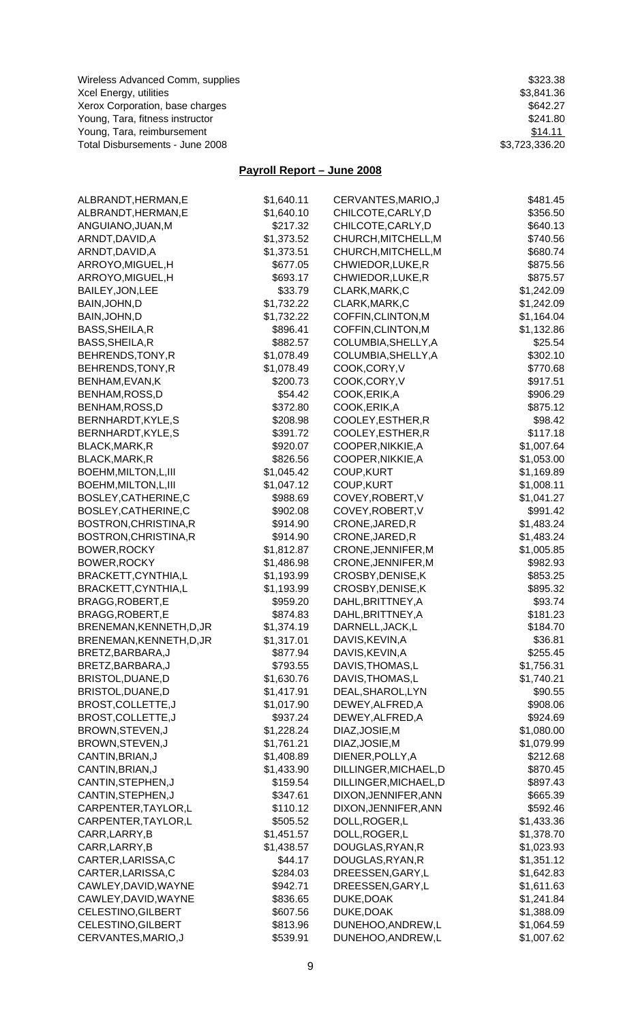Wireless Advanced Comm, supplies **\$323.38**  $$323.38$ Xcel Energy, utilities \$3,841.36 Xerox Corporation, base charges  $$642.27$ Young, Tara, fitness instructor  $$241.80$ Young, Tara, reimbursement **\$14.11** Total Disbursements - June 2008 **\$3,723,336.20** 

## **Payroll Report – June 2008**

| ALBRANDT, HERMAN, E      | \$1,640.11 | CERVANTES, MARIO, J   | \$481.45   |
|--------------------------|------------|-----------------------|------------|
| ALBRANDT, HERMAN, E      | \$1,640.10 | CHILCOTE, CARLY, D    | \$356.50   |
| ANGUIANO, JUAN, M        | \$217.32   | CHILCOTE, CARLY, D    | \$640.13   |
| ARNDT, DAVID, A          | \$1,373.52 | CHURCH, MITCHELL, M   | \$740.56   |
| ARNDT,DAVID,A            | \$1,373.51 | CHURCH, MITCHELL, M   | \$680.74   |
| ARROYO, MIGUEL, H        | \$677.05   | CHWIEDOR, LUKE, R     | \$875.56   |
| ARROYO,MIGUEL,H          | \$693.17   | CHWIEDOR, LUKE, R     | \$875.57   |
| <b>BAILEY, JON, LEE</b>  | \$33.79    | CLARK, MARK, C        | \$1,242.09 |
| BAIN, JOHN, D            | \$1,732.22 | CLARK, MARK, C        | \$1,242.09 |
| BAIN, JOHN, D            | \$1,732.22 | COFFIN, CLINTON, M    | \$1,164.04 |
| BASS, SHEILA, R          | \$896.41   | COFFIN, CLINTON, M    | \$1,132.86 |
| BASS, SHEILA, R          | \$882.57   | COLUMBIA, SHELLY, A   | \$25.54    |
| BEHRENDS, TONY, R        | \$1,078.49 | COLUMBIA, SHELLY, A   | \$302.10   |
| BEHRENDS,TONY,R          | \$1,078.49 | COOK,CORY,V           | \$770.68   |
| BENHAM, EVAN, K          | \$200.73   | COOK,CORY,V           | \$917.51   |
| BENHAM,ROSS,D            | \$54.42    | COOK, ERIK, A         | \$906.29   |
| BENHAM,ROSS,D            | \$372.80   | COOK, ERIK, A         | \$875.12   |
| BERNHARDT, KYLE, S       | \$208.98   | COOLEY, ESTHER, R     | \$98.42    |
| BERNHARDT, KYLE, S       | \$391.72   | COOLEY, ESTHER, R     | \$117.18   |
| BLACK, MARK, R           | \$920.07   | COOPER, NIKKIE, A     | \$1,007.64 |
| BLACK, MARK, R           | \$826.56   | COOPER, NIKKIE, A     | \$1,053.00 |
| BOEHM, MILTON, L, III    | \$1,045.42 | COUP, KURT            | \$1,169.89 |
| BOEHM, MILTON, L, III    | \$1,047.12 | <b>COUP, KURT</b>     | \$1,008.11 |
| BOSLEY, CATHERINE, C     | \$988.69   | COVEY, ROBERT, V      | \$1,041.27 |
| BOSLEY, CATHERINE, C     | \$902.08   | COVEY, ROBERT, V      | \$991.42   |
| BOSTRON,CHRISTINA,R      | \$914.90   | CRONE, JARED, R       | \$1,483.24 |
| BOSTRON, CHRISTINA, R    | \$914.90   | CRONE, JARED, R       | \$1,483.24 |
| BOWER, ROCKY             | \$1,812.87 | CRONE, JENNIFER, M    | \$1,005.85 |
| BOWER, ROCKY             | \$1,486.98 | CRONE, JENNIFER, M    | \$982.93   |
| BRACKETT,CYNTHIA,L       | \$1,193.99 | CROSBY, DENISE, K     | \$853.25   |
| BRACKETT,CYNTHIA,L       | \$1,193.99 | CROSBY, DENISE, K     | \$895.32   |
| BRAGG,ROBERT,E           | \$959.20   | DAHL, BRITTNEY, A     | \$93.74    |
| BRAGG,ROBERT,E           | \$874.83   | DAHL, BRITTNEY, A     | \$181.23   |
| BRENEMAN, KENNETH, D, JR | \$1,374.19 | DARNELL, JACK, L      | \$184.70   |
| BRENEMAN, KENNETH, D, JR | \$1,317.01 | DAVIS, KEVIN, A       | \$36.81    |
| BRETZ, BARBARA, J        | \$877.94   | DAVIS, KEVIN, A       | \$255.45   |
| BRETZ, BARBARA, J        | \$793.55   | DAVIS, THOMAS, L      | \$1,756.31 |
| BRISTOL, DUANE, D        | \$1,630.76 | DAVIS, THOMAS, L      | \$1,740.21 |
| BRISTOL, DUANE, D        | \$1,417.91 | DEAL, SHAROL, LYN     | \$90.55    |
| BROST, COLLETTE, J       | \$1,017.90 | DEWEY, ALFRED, A      | \$908.06   |
| BROST, COLLETTE, J       | \$937.24   | DEWEY, ALFRED, A      | \$924.69   |
| BROWN, STEVEN, J         | \$1,228.24 | DIAZ, JOSIE, M        | \$1,080.00 |
| BROWN, STEVEN, J         | \$1,761.21 | DIAZ, JOSIE, M        | \$1,079.99 |
| CANTIN, BRIAN, J         | \$1,408.89 | DIENER, POLLY, A      | \$212.68   |
| CANTIN, BRIAN, J         | \$1,433.90 | DILLINGER, MICHAEL, D | \$870.45   |
| CANTIN, STEPHEN, J       | \$159.54   | DILLINGER, MICHAEL, D | \$897.43   |
| CANTIN, STEPHEN, J       | \$347.61   | DIXON, JENNIFER, ANN  | \$665.39   |
| CARPENTER, TAYLOR, L     | \$110.12   | DIXON, JENNIFER, ANN  | \$592.46   |
| CARPENTER, TAYLOR, L     | \$505.52   | DOLL, ROGER, L        | \$1,433.36 |
| CARR,LARRY,B             | \$1,451.57 | DOLL, ROGER, L        | \$1,378.70 |
| CARR,LARRY,B             | \$1,438.57 | DOUGLAS, RYAN, R      | \$1,023.93 |
| CARTER, LARISSA, C       | \$44.17    | DOUGLAS, RYAN, R      | \$1,351.12 |
| CARTER, LARISSA, C       | \$284.03   | DREESSEN, GARY, L     | \$1,642.83 |
| CAWLEY, DAVID, WAYNE     | \$942.71   | DREESSEN, GARY, L     | \$1,611.63 |
| CAWLEY, DAVID, WAYNE     | \$836.65   | DUKE, DOAK            | \$1,241.84 |
| CELESTINO, GILBERT       | \$607.56   | DUKE, DOAK            | \$1,388.09 |
| CELESTINO, GILBERT       | \$813.96   | DUNEHOO, ANDREW, L    | \$1,064.59 |
| CERVANTES, MARIO, J      | \$539.91   | DUNEHOO, ANDREW, L    | \$1,007.62 |
|                          |            |                       |            |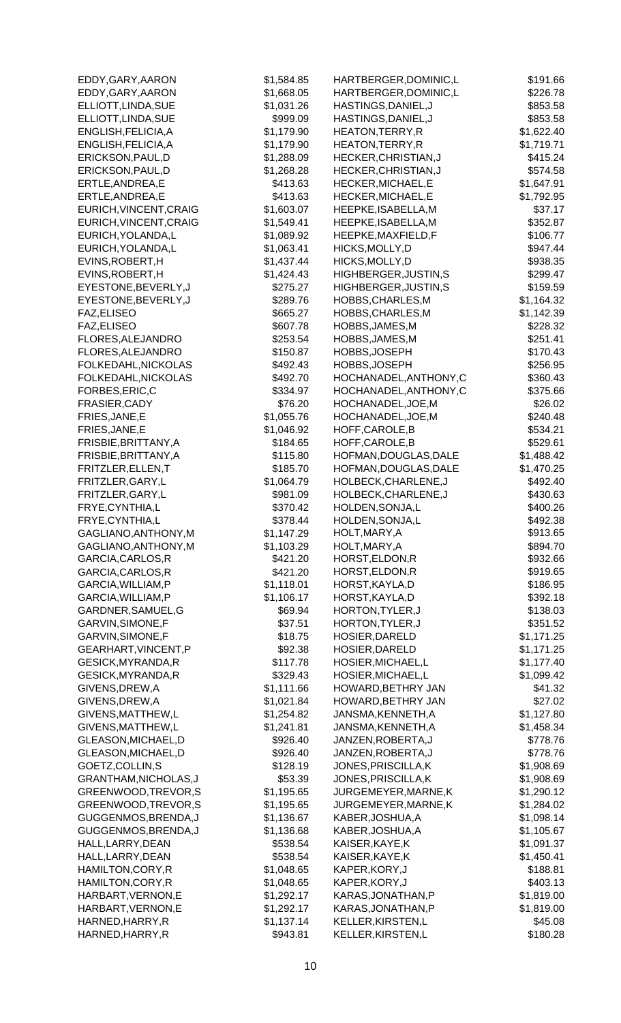| EDDY, GARY, AARON      | \$1,584.85 | HARTBERGER, DOMINIC, L | \$191.66   |
|------------------------|------------|------------------------|------------|
| EDDY, GARY, AARON      | \$1,668.05 | HARTBERGER, DOMINIC, L | \$226.78   |
| ELLIOTT, LINDA, SUE    | \$1,031.26 | HASTINGS, DANIEL, J    | \$853.58   |
| ELLIOTT, LINDA, SUE    | \$999.09   | HASTINGS, DANIEL, J    | \$853.58   |
| ENGLISH, FELICIA, A    | \$1,179.90 | HEATON, TERRY, R       | \$1,622.40 |
| ENGLISH, FELICIA, A    | \$1,179.90 | HEATON, TERRY, R       | \$1,719.71 |
| ERICKSON, PAUL, D      | \$1,288.09 | HECKER, CHRISTIAN, J   | \$415.24   |
| ERICKSON, PAUL, D      | \$1,268.28 | HECKER, CHRISTIAN, J   | \$574.58   |
| ERTLE, ANDREA, E       | \$413.63   | HECKER, MICHAEL, E     | \$1,647.91 |
| ERTLE, ANDREA, E       | \$413.63   | HECKER, MICHAEL, E     | \$1,792.95 |
| EURICH, VINCENT, CRAIG |            | HEEPKE, ISABELLA, M    |            |
|                        | \$1,603.07 |                        | \$37.17    |
| EURICH, VINCENT, CRAIG | \$1,549.41 | HEEPKE, ISABELLA, M    | \$352.87   |
| EURICH, YOLANDA, L     | \$1,089.92 | HEEPKE, MAXFIELD, F    | \$106.77   |
| EURICH, YOLANDA, L     | \$1,063.41 | HICKS, MOLLY, D        | \$947.44   |
| EVINS, ROBERT, H       | \$1,437.44 | HICKS, MOLLY, D        | \$938.35   |
| EVINS, ROBERT, H       | \$1,424.43 | HIGHBERGER, JUSTIN, S  | \$299.47   |
| EYESTONE, BEVERLY, J   | \$275.27   | HIGHBERGER, JUSTIN, S  | \$159.59   |
| EYESTONE, BEVERLY, J   | \$289.76   | HOBBS, CHARLES, M      | \$1,164.32 |
| FAZ, ELISEO            | \$665.27   | HOBBS, CHARLES, M      | \$1,142.39 |
| FAZ, ELISEO            | \$607.78   | HOBBS, JAMES, M        | \$228.32   |
| FLORES, ALEJANDRO      | \$253.54   | HOBBS, JAMES, M        | \$251.41   |
| FLORES, ALEJANDRO      | \$150.87   | HOBBS, JOSEPH          | \$170.43   |
| FOLKEDAHL, NICKOLAS    | \$492.43   | HOBBS, JOSEPH          | \$256.95   |
| FOLKEDAHL, NICKOLAS    | \$492.70   | HOCHANADEL, ANTHONY, C | \$360.43   |
| FORBES, ERIC, C        | \$334.97   | HOCHANADEL, ANTHONY, C | \$375.66   |
| FRASIER, CADY          | \$76.20    | HOCHANADEL, JOE, M     | \$26.02    |
| FRIES, JANE, E         | \$1,055.76 | HOCHANADEL, JOE, M     | \$240.48   |
| FRIES, JANE, E         |            | HOFF, CAROLE, B        |            |
|                        | \$1,046.92 |                        | \$534.21   |
| FRISBIE, BRITTANY, A   | \$184.65   | HOFF, CAROLE, B        | \$529.61   |
| FRISBIE, BRITTANY, A   | \$115.80   | HOFMAN, DOUGLAS, DALE  | \$1,488.42 |
| FRITZLER, ELLEN, T     | \$185.70   | HOFMAN, DOUGLAS, DALE  | \$1,470.25 |
| FRITZLER, GARY, L      | \$1,064.79 | HOLBECK, CHARLENE, J   | \$492.40   |
| FRITZLER, GARY, L      | \$981.09   | HOLBECK, CHARLENE, J   | \$430.63   |
| FRYE, CYNTHIA, L       | \$370.42   | HOLDEN, SONJA, L       | \$400.26   |
| FRYE, CYNTHIA, L       | \$378.44   | HOLDEN, SONJA, L       | \$492.38   |
| GAGLIANO, ANTHONY, M   | \$1,147.29 | HOLT, MARY, A          | \$913.65   |
| GAGLIANO, ANTHONY, M   | \$1,103.29 | HOLT, MARY, A          | \$894.70   |
| GARCIA, CARLOS, R      | \$421.20   | HORST, ELDON, R        | \$932.66   |
| GARCIA, CARLOS, R      | \$421.20   | HORST, ELDON, R        | \$919.65   |
| GARCIA, WILLIAM, P     | \$1,118.01 | HORST, KAYLA, D        | \$186.95   |
| GARCIA, WILLIAM, P     | \$1,106.17 | HORST, KAYLA, D        | \$392.18   |
| GARDNER, SAMUEL, G     | \$69.94    | HORTON, TYLER, J       | \$138.03   |
| GARVIN, SIMONE, F      | \$37.51    | HORTON, TYLER, J       | \$351.52   |
| GARVIN, SIMONE, F      | \$18.75    | HOSIER, DARELD         | \$1,171.25 |
| GEARHART, VINCENT, P   | \$92.38    | HOSIER, DARELD         | \$1,171.25 |
| GESICK, MYRANDA, R     | \$117.78   | HOSIER, MICHAEL, L     | \$1,177.40 |
| GESICK, MYRANDA, R     | \$329.43   | HOSIER, MICHAEL, L     | \$1,099.42 |
|                        |            | HOWARD, BETHRY JAN     |            |
| GIVENS, DREW, A        | \$1,111.66 |                        | \$41.32    |
| GIVENS, DREW, A        | \$1,021.84 | HOWARD, BETHRY JAN     | \$27.02    |
| GIVENS, MATTHEW, L     | \$1,254.82 | JANSMA, KENNETH, A     | \$1,127.80 |
| GIVENS, MATTHEW, L     | \$1,241.81 | JANSMA, KENNETH, A     | \$1,458.34 |
| GLEASON, MICHAEL, D    | \$926.40   | JANZEN, ROBERTA, J     | \$778.76   |
| GLEASON, MICHAEL, D    | \$926.40   | JANZEN, ROBERTA, J     | \$778.76   |
| GOETZ, COLLIN, S       | \$128.19   | JONES, PRISCILLA, K    | \$1,908.69 |
| GRANTHAM, NICHOLAS, J  | \$53.39    | JONES, PRISCILLA, K    | \$1,908.69 |
| GREENWOOD, TREVOR, S   | \$1,195.65 | JURGEMEYER, MARNE, K   | \$1,290.12 |
| GREENWOOD, TREVOR, S   | \$1,195.65 | JURGEMEYER, MARNE, K   | \$1,284.02 |
| GUGGENMOS, BRENDA, J   | \$1,136.67 | KABER, JOSHUA, A       | \$1,098.14 |
| GUGGENMOS, BRENDA, J   | \$1,136.68 | KABER, JOSHUA, A       | \$1,105.67 |
| HALL, LARRY, DEAN      | \$538.54   | KAISER, KAYE, K        | \$1,091.37 |
| HALL, LARRY, DEAN      | \$538.54   | KAISER, KAYE, K        | \$1,450.41 |
| HAMILTON, CORY, R      | \$1,048.65 | KAPER, KORY, J         | \$188.81   |
| HAMILTON, CORY, R      | \$1,048.65 | KAPER, KORY, J         | \$403.13   |
| HARBART, VERNON, E     | \$1,292.17 | KARAS, JONATHAN, P     | \$1,819.00 |
| HARBART, VERNON, E     | \$1,292.17 | KARAS, JONATHAN, P     | \$1,819.00 |
| HARNED, HARRY, R       | \$1,137.14 | KELLER, KIRSTEN, L     | \$45.08    |
|                        |            |                        | \$180.28   |
| HARNED, HARRY, R       | \$943.81   | KELLER, KIRSTEN, L     |            |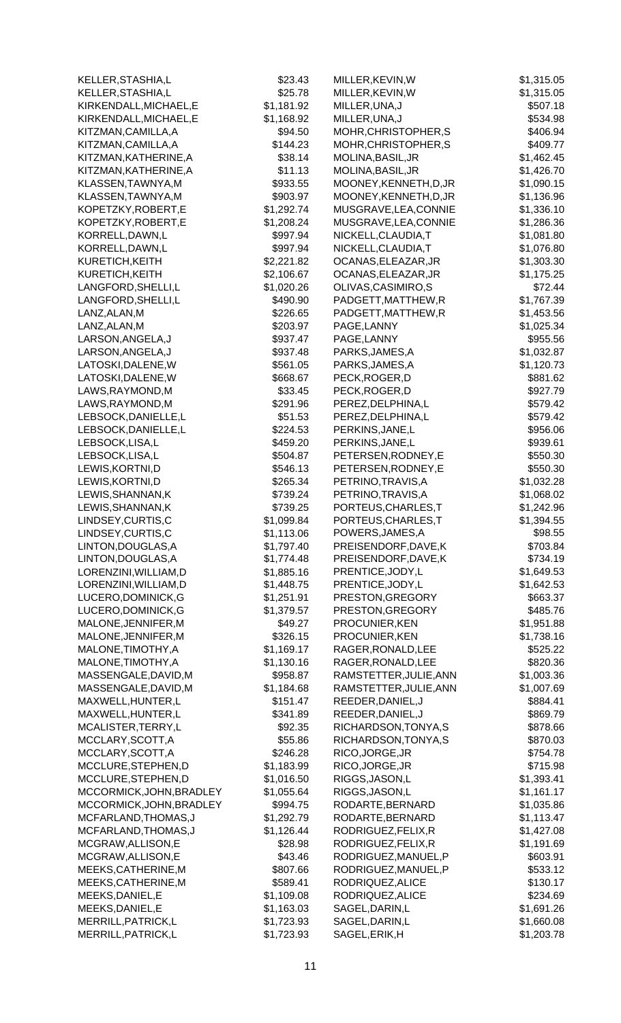| KELLER, STASHIA, L                    | \$23.43              | MILLER, KEVIN, W                         | \$1,315.05               |
|---------------------------------------|----------------------|------------------------------------------|--------------------------|
| KELLER, STASHIA, L                    | \$25.78              | MILLER, KEVIN, W                         | \$1,315.05               |
| KIRKENDALL, MICHAEL, E                | \$1,181.92           | MILLER, UNA, J                           | \$507.18                 |
| KIRKENDALL, MICHAEL, E                | \$1,168.92           | MILLER, UNA, J                           | \$534.98                 |
| KITZMAN, CAMILLA, A                   | \$94.50              | MOHR, CHRISTOPHER, S                     | \$406.94                 |
| KITZMAN, CAMILLA, A                   | \$144.23             | MOHR, CHRISTOPHER, S                     | \$409.77                 |
| KITZMAN, KATHERINE, A                 | \$38.14              | MOLINA, BASIL, JR                        | \$1,462.45               |
| KITZMAN, KATHERINE, A                 | \$11.13              | MOLINA, BASIL, JR                        | \$1,426.70               |
| KLASSEN, TAWNYA, M                    | \$933.55             | MOONEY, KENNETH, D, JR                   | \$1,090.15               |
| KLASSEN, TAWNYA, M                    | \$903.97             | MOONEY, KENNETH, D, JR                   | \$1,136.96               |
| KOPETZKY, ROBERT, E                   | \$1,292.74           | MUSGRAVE, LEA, CONNIE                    | \$1,336.10               |
| KOPETZKY, ROBERT, E                   | \$1,208.24           | MUSGRAVE, LEA, CONNIE                    | \$1,286.36               |
| KORRELL, DAWN, L                      | \$997.94             | NICKELL, CLAUDIA, T                      | \$1,081.80               |
| KORRELL, DAWN, L                      | \$997.94             | NICKELL, CLAUDIA, T                      | \$1,076.80               |
| KURETICH, KEITH                       | \$2,221.82           | OCANAS, ELEAZAR, JR                      | \$1,303.30               |
| KURETICH, KEITH                       | \$2,106.67           | OCANAS, ELEAZAR, JR                      | \$1,175.25               |
| LANGFORD, SHELLI, L                   | \$1,020.26           | OLIVAS, CASIMIRO, S                      | \$72.44                  |
| LANGFORD, SHELLI, L                   | \$490.90             | PADGETT, MATTHEW, R                      | \$1,767.39               |
| LANZ, ALAN, M                         | \$226.65             | PADGETT, MATTHEW, R                      | \$1,453.56               |
| LANZ, ALAN, M                         | \$203.97             | PAGE, LANNY                              | \$1,025.34               |
| LARSON, ANGELA, J                     | \$937.47             | PAGE, LANNY                              | \$955.56                 |
| LARSON, ANGELA, J                     | \$937.48             | PARKS, JAMES, A                          | \$1,032.87               |
| LATOSKI, DALENE, W                    | \$561.05             | PARKS, JAMES, A                          | \$1,120.73               |
| LATOSKI, DALENE, W                    | \$668.67             | PECK, ROGER, D                           | \$881.62                 |
| LAWS, RAYMOND, M                      | \$33.45              | PECK, ROGER, D                           | \$927.79                 |
| LAWS, RAYMOND, M                      | \$291.96             | PEREZ, DELPHINA, L                       | \$579.42                 |
| LEBSOCK, DANIELLE, L                  | \$51.53              | PEREZ, DELPHINA, L                       | \$579.42                 |
| LEBSOCK, DANIELLE, L                  | \$224.53             | PERKINS, JANE, L                         | \$956.06                 |
| LEBSOCK, LISA, L                      | \$459.20             | PERKINS, JANE, L                         | \$939.61                 |
| LEBSOCK, LISA, L                      | \$504.87             | PETERSEN, RODNEY, E                      | \$550.30                 |
| LEWIS, KORTNI, D                      | \$546.13             | PETERSEN, RODNEY, E                      | \$550.30                 |
| LEWIS, KORTNI, D<br>LEWIS, SHANNAN, K | \$265.34<br>\$739.24 | PETRINO, TRAVIS, A<br>PETRINO, TRAVIS, A | \$1,032.28               |
| LEWIS, SHANNAN, K                     | \$739.25             | PORTEUS, CHARLES, T                      | \$1,068.02<br>\$1,242.96 |
| LINDSEY, CURTIS, C                    | \$1,099.84           | PORTEUS, CHARLES, T                      | \$1,394.55               |
| LINDSEY, CURTIS, C                    | \$1,113.06           | POWERS, JAMES, A                         | \$98.55                  |
| LINTON, DOUGLAS, A                    | \$1,797.40           | PREISENDORF, DAVE, K                     | \$703.84                 |
| LINTON, DOUGLAS, A                    | \$1,774.48           | PREISENDORF, DAVE, K                     | \$734.19                 |
| LORENZINI, WILLIAM, D                 | \$1,885.16           | PRENTICE, JODY, L                        | \$1,649.53               |
| LORENZINI, WILLIAM, D                 | \$1,448.75           | PRENTICE, JODY, L                        | \$1,642.53               |
| LUCERO, DOMINICK, G                   | \$1,251.91           | PRESTON, GREGORY                         | \$663.37                 |
| LUCERO, DOMINICK, G                   | \$1,379.57           | PRESTON, GREGORY                         | \$485.76                 |
| MALONE, JENNIFER, M                   | \$49.27              | PROCUNIER, KEN                           | \$1,951.88               |
| MALONE, JENNIFER, M                   | \$326.15             | PROCUNIER, KEN                           | \$1,738.16               |
| MALONE, TIMOTHY, A                    | \$1,169.17           | RAGER, RONALD, LEE                       | \$525.22                 |
| MALONE, TIMOTHY, A                    | \$1,130.16           | RAGER, RONALD, LEE                       | \$820.36                 |
| MASSENGALE, DAVID, M                  | \$958.87             | RAMSTETTER, JULIE, ANN                   | \$1,003.36               |
| MASSENGALE, DAVID, M                  | \$1,184.68           | RAMSTETTER, JULIE, ANN                   | \$1,007.69               |
| MAXWELL, HUNTER, L                    | \$151.47             | REEDER, DANIEL, J                        | \$884.41                 |
| MAXWELL, HUNTER, L                    | \$341.89             | REEDER, DANIEL, J                        | \$869.79                 |
| MCALISTER, TERRY, L                   | \$92.35              | RICHARDSON, TONYA, S                     | \$878.66                 |
| MCCLARY, SCOTT, A                     | \$55.86              | RICHARDSON, TONYA, S                     | \$870.03                 |
| MCCLARY, SCOTT, A                     | \$246.28             | RICO, JORGE, JR                          | \$754.78                 |
| MCCLURE, STEPHEN, D                   | \$1,183.99           | RICO, JORGE, JR                          | \$715.98                 |
| MCCLURE, STEPHEN, D                   | \$1,016.50           | RIGGS, JASON, L                          | \$1,393.41               |
| MCCORMICK, JOHN, BRADLEY              | \$1,055.64           | RIGGS, JASON, L                          | \$1,161.17               |
| MCCORMICK, JOHN, BRADLEY              | \$994.75             | RODARTE, BERNARD                         | \$1,035.86               |
| MCFARLAND, THOMAS, J                  | \$1,292.79           | RODARTE, BERNARD                         | \$1,113.47               |
| MCFARLAND, THOMAS, J                  | \$1,126.44           | RODRIGUEZ, FELIX, R                      | \$1,427.08               |
| MCGRAW, ALLISON, E                    | \$28.98              | RODRIGUEZ, FELIX, R                      | \$1,191.69               |
| MCGRAW, ALLISON, E                    | \$43.46              | RODRIGUEZ, MANUEL, P                     | \$603.91                 |
| MEEKS, CATHERINE, M                   | \$807.66             | RODRIGUEZ, MANUEL, P                     | \$533.12                 |
| MEEKS, CATHERINE, M                   | \$589.41             | RODRIQUEZ, ALICE                         | \$130.17                 |
| MEEKS, DANIEL, E                      | \$1,109.08           | RODRIQUEZ, ALICE                         | \$234.69                 |
| MEEKS, DANIEL, E                      | \$1,163.03           | SAGEL, DARIN, L                          | \$1,691.26               |
| MERRILL, PATRICK, L                   | \$1,723.93           | SAGEL, DARIN, L                          | \$1,660.08               |
| MERRILL, PATRICK, L                   | \$1,723.93           | SAGEL, ERIK, H                           | \$1,203.78               |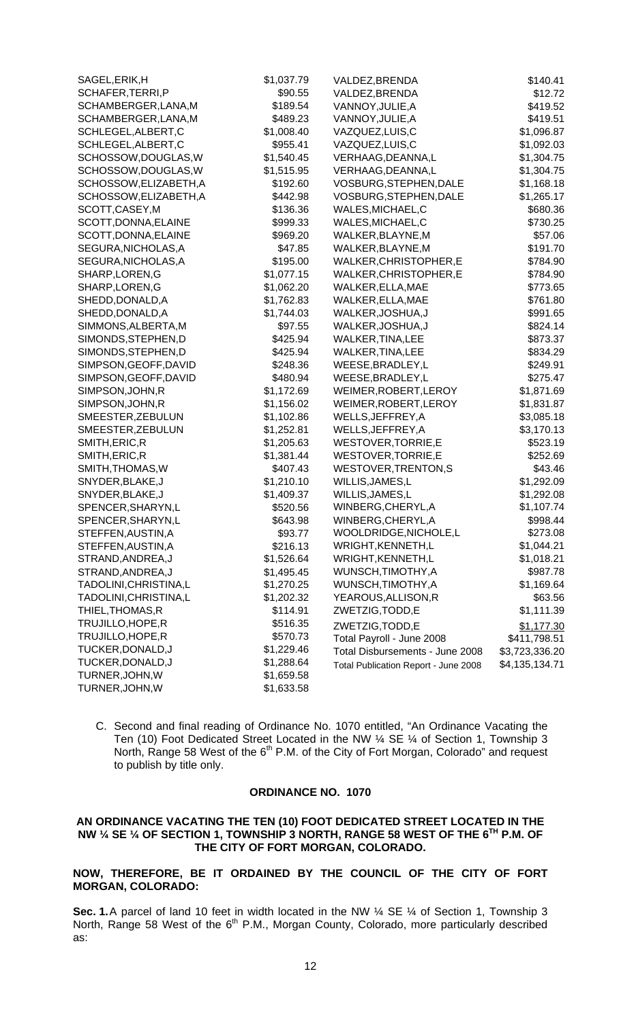| SAGEL, ERIK, H         | \$1,037.79 | VALDEZ, BRENDA                       | \$140.41       |
|------------------------|------------|--------------------------------------|----------------|
| SCHAFER, TERRI, P      | \$90.55    | VALDEZ, BRENDA                       | \$12.72        |
| SCHAMBERGER, LANA, M   | \$189.54   | VANNOY, JULIE, A                     | \$419.52       |
| SCHAMBERGER, LANA, M   | \$489.23   | VANNOY, JULIE, A                     | \$419.51       |
| SCHLEGEL, ALBERT, C    | \$1,008.40 | VAZQUEZ,LUIS,C                       | \$1,096.87     |
| SCHLEGEL, ALBERT, C    | \$955.41   | VAZQUEZ,LUIS,C                       | \$1,092.03     |
| SCHOSSOW, DOUGLAS, W   | \$1,540.45 | VERHAAG, DEANNA, L                   | \$1,304.75     |
| SCHOSSOW, DOUGLAS, W   | \$1,515.95 | VERHAAG, DEANNA, L                   | \$1,304.75     |
| SCHOSSOW, ELIZABETH, A | \$192.60   | VOSBURG, STEPHEN, DALE               | \$1,168.18     |
| SCHOSSOW, ELIZABETH, A | \$442.98   | VOSBURG, STEPHEN, DALE               | \$1,265.17     |
| SCOTT, CASEY, M        | \$136.36   | WALES, MICHAEL, C                    | \$680.36       |
| SCOTT, DONNA, ELAINE   | \$999.33   | WALES, MICHAEL, C                    | \$730.25       |
| SCOTT, DONNA, ELAINE   | \$969.20   | WALKER, BLAYNE, M                    | \$57.06        |
| SEGURA, NICHOLAS, A    | \$47.85    | WALKER, BLAYNE, M                    | \$191.70       |
| SEGURA, NICHOLAS, A    | \$195.00   | WALKER, CHRISTOPHER, E               | \$784.90       |
| SHARP, LOREN, G        | \$1,077.15 | WALKER, CHRISTOPHER, E               | \$784.90       |
| SHARP, LOREN, G        | \$1,062.20 | WALKER, ELLA, MAE                    | \$773.65       |
| SHEDD, DONALD, A       | \$1,762.83 | WALKER, ELLA, MAE                    | \$761.80       |
| SHEDD, DONALD, A       | \$1,744.03 | WALKER, JOSHUA, J                    | \$991.65       |
| SIMMONS, ALBERTA, M    | \$97.55    | WALKER, JOSHUA, J                    | \$824.14       |
| SIMONDS, STEPHEN, D    | \$425.94   | WALKER, TINA, LEE                    | \$873.37       |
| SIMONDS, STEPHEN, D    | \$425.94   | WALKER, TINA, LEE                    | \$834.29       |
| SIMPSON, GEOFF, DAVID  | \$248.36   | WEESE, BRADLEY, L                    | \$249.91       |
| SIMPSON, GEOFF, DAVID  | \$480.94   | WEESE, BRADLEY, L                    | \$275.47       |
| SIMPSON, JOHN, R       | \$1,172.69 | WEIMER, ROBERT, LEROY                | \$1,871.69     |
| SIMPSON, JOHN, R       | \$1,156.02 | WEIMER, ROBERT, LEROY                | \$1,831.87     |
| SMEESTER, ZEBULUN      | \$1,102.86 | WELLS, JEFFREY, A                    | \$3,085.18     |
| SMEESTER, ZEBULUN      | \$1,252.81 | WELLS, JEFFREY, A                    | \$3,170.13     |
| SMITH, ERIC, R         | \$1,205.63 | WESTOVER, TORRIE, E                  | \$523.19       |
| SMITH, ERIC, R         | \$1,381.44 | WESTOVER, TORRIE, E                  | \$252.69       |
| SMITH, THOMAS, W       | \$407.43   | WESTOVER, TRENTON, S                 | \$43.46        |
| SNYDER, BLAKE, J       | \$1,210.10 | WILLIS, JAMES, L                     | \$1,292.09     |
| SNYDER, BLAKE, J       | \$1,409.37 | WILLIS, JAMES, L                     | \$1,292.08     |
| SPENCER, SHARYN, L     | \$520.56   | WINBERG, CHERYL, A                   | \$1,107.74     |
| SPENCER, SHARYN, L     | \$643.98   | WINBERG, CHERYL, A                   | \$998.44       |
| STEFFEN, AUSTIN, A     | \$93.77    | WOOLDRIDGE, NICHOLE, L               | \$273.08       |
| STEFFEN, AUSTIN, A     | \$216.13   | WRIGHT, KENNETH, L                   | \$1,044.21     |
| STRAND, ANDREA, J      | \$1,526.64 | WRIGHT, KENNETH, L                   | \$1,018.21     |
| STRAND, ANDREA, J      | \$1,495.45 | WUNSCH, TIMOTHY, A                   | \$987.78       |
| TADOLINI, CHRISTINA, L | \$1,270.25 | WUNSCH, TIMOTHY, A                   | \$1,169.64     |
| TADOLINI, CHRISTINA, L | \$1,202.32 | YEAROUS, ALLISON, R                  | \$63.56        |
| THIEL, THOMAS, R       | \$114.91   | ZWETZIG, TODD, E                     | \$1,111.39     |
| TRUJILLO, HOPE, R      | \$516.35   | ZWETZIG, TODD, E                     | \$1,177.30     |
| TRUJILLO, HOPE, R      | \$570.73   | Total Payroll - June 2008            | \$411,798.51   |
| TUCKER, DONALD, J      | \$1,229.46 | Total Disbursements - June 2008      | \$3,723,336.20 |
| TUCKER, DONALD, J      | \$1,288.64 | Total Publication Report - June 2008 | \$4,135,134.71 |
| TURNER, JOHN, W        | \$1,659.58 |                                      |                |
| TURNER, JOHN, W        | \$1,633.58 |                                      |                |

C. Second and final reading of Ordinance No. 1070 entitled, "An Ordinance Vacating the Ten (10) Foot Dedicated Street Located in the NW ¼ SE ¼ of Section 1, Township 3 North, Range 58 West of the 6<sup>th</sup> P.M. of the City of Fort Morgan, Colorado" and request to publish by title only.

# **ORDINANCE NO. 1070**

## **AN ORDINANCE VACATING THE TEN (10) FOOT DEDICATED STREET LOCATED IN THE NW ¼ SE ¼ OF SECTION 1, TOWNSHIP 3 NORTH, RANGE 58 WEST OF THE 6TH P.M. OF THE CITY OF FORT MORGAN, COLORADO.**

**NOW, THEREFORE, BE IT ORDAINED BY THE COUNCIL OF THE CITY OF FORT MORGAN, COLORADO:** 

**Sec. 1.** A parcel of land 10 feet in width located in the NW  $\frac{1}{4}$  SE  $\frac{1}{4}$  of Section 1, Township 3 North, Range 58 West of the 6<sup>th</sup> P.M., Morgan County, Colorado, more particularly described as: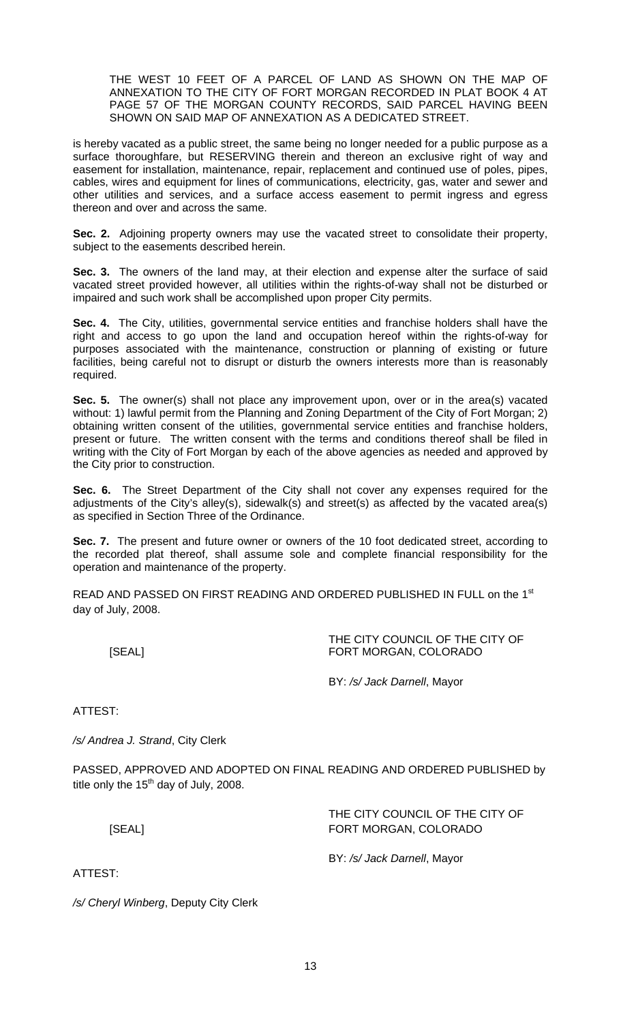THE WEST 10 FEET OF A PARCEL OF LAND AS SHOWN ON THE MAP OF ANNEXATION TO THE CITY OF FORT MORGAN RECORDED IN PLAT BOOK 4 AT PAGE 57 OF THE MORGAN COUNTY RECORDS, SAID PARCEL HAVING BEEN SHOWN ON SAID MAP OF ANNEXATION AS A DEDICATED STREET.

is hereby vacated as a public street, the same being no longer needed for a public purpose as a surface thoroughfare, but RESERVING therein and thereon an exclusive right of way and easement for installation, maintenance, repair, replacement and continued use of poles, pipes, cables, wires and equipment for lines of communications, electricity, gas, water and sewer and other utilities and services, and a surface access easement to permit ingress and egress thereon and over and across the same.

**Sec. 2.** Adjoining property owners may use the vacated street to consolidate their property, subject to the easements described herein.

**Sec. 3.** The owners of the land may, at their election and expense alter the surface of said vacated street provided however, all utilities within the rights-of-way shall not be disturbed or impaired and such work shall be accomplished upon proper City permits.

**Sec. 4.** The City, utilities, governmental service entities and franchise holders shall have the right and access to go upon the land and occupation hereof within the rights-of-way for purposes associated with the maintenance, construction or planning of existing or future facilities, being careful not to disrupt or disturb the owners interests more than is reasonably required.

**Sec. 5.** The owner(s) shall not place any improvement upon, over or in the area(s) vacated without: 1) lawful permit from the Planning and Zoning Department of the City of Fort Morgan; 2) obtaining written consent of the utilities, governmental service entities and franchise holders, present or future. The written consent with the terms and conditions thereof shall be filed in writing with the City of Fort Morgan by each of the above agencies as needed and approved by the City prior to construction.

**Sec. 6.** The Street Department of the City shall not cover any expenses required for the adjustments of the City's alley(s), sidewalk(s) and street(s) as affected by the vacated area(s) as specified in Section Three of the Ordinance.

**Sec. 7.** The present and future owner or owners of the 10 foot dedicated street, according to the recorded plat thereof, shall assume sole and complete financial responsibility for the operation and maintenance of the property.

READ AND PASSED ON FIRST READING AND ORDERED PUBLISHED IN FULL on the 1st day of July, 2008.

| [SEAL]                           | THE CITY COUNCIL OF THE CITY OF<br>FORT MORGAN, COLORADO |
|----------------------------------|----------------------------------------------------------|
|                                  | BY: /s/ Jack Darnell, Mayor                              |
| ATTEST:                          |                                                          |
| /s/ Andrea J. Strand, City Clerk |                                                          |

PASSED, APPROVED AND ADOPTED ON FINAL READING AND ORDERED PUBLISHED by title only the  $15<sup>th</sup>$  day of July, 2008.

| [SEAL] | THE CITY COUNCIL OF THE CITY OF<br>FORT MORGAN, COLORADO |
|--------|----------------------------------------------------------|
|        | BY: /s/ Jack Darnell, Mayor                              |

*/s/ Cheryl Winberg*, Deputy City Clerk

ATTEST: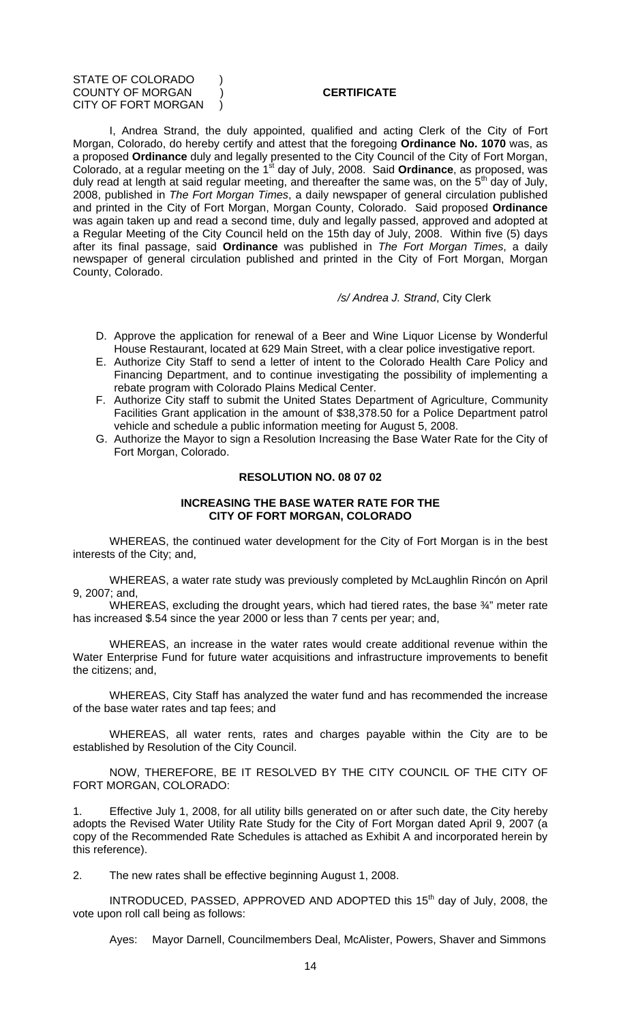#### STATE OF COLORADO ) COUNTY OF MORGAN ) **CERTIFICATE** CITY OF FORT MORGAN )

I, Andrea Strand, the duly appointed, qualified and acting Clerk of the City of Fort Morgan, Colorado, do hereby certify and attest that the foregoing **Ordinance No. 1070** was, as a proposed **Ordinance** duly and legally presented to the City Council of the City of Fort Morgan, Colorado, at a regular meeting on the 1<sup>st</sup> day of July, 2008. Said **Ordinance**, as proposed, was duly read at length at said regular meeting, and thereafter the same was, on the  $5<sup>th</sup>$  day of July, 2008, published in *The Fort Morgan Times*, a daily newspaper of general circulation published and printed in the City of Fort Morgan, Morgan County, Colorado. Said proposed **Ordinance** was again taken up and read a second time, duly and legally passed, approved and adopted at a Regular Meeting of the City Council held on the 15th day of July, 2008. Within five (5) days after its final passage, said **Ordinance** was published in *The Fort Morgan Times*, a daily newspaper of general circulation published and printed in the City of Fort Morgan, Morgan County, Colorado.

#### */s/ Andrea J. Strand*, City Clerk

- D. Approve the application for renewal of a Beer and Wine Liquor License by Wonderful House Restaurant, located at 629 Main Street, with a clear police investigative report.
- E. Authorize City Staff to send a letter of intent to the Colorado Health Care Policy and Financing Department, and to continue investigating the possibility of implementing a rebate program with Colorado Plains Medical Center.
- F. Authorize City staff to submit the United States Department of Agriculture, Community Facilities Grant application in the amount of \$38,378.50 for a Police Department patrol vehicle and schedule a public information meeting for August 5, 2008.
- G. Authorize the Mayor to sign a Resolution Increasing the Base Water Rate for the City of Fort Morgan, Colorado.

#### **RESOLUTION NO. 08 07 02**

## **INCREASING THE BASE WATER RATE FOR THE CITY OF FORT MORGAN, COLORADO**

WHEREAS, the continued water development for the City of Fort Morgan is in the best interests of the City; and,

WHEREAS, a water rate study was previously completed by McLaughlin Rincón on April 9, 2007; and,

WHEREAS, excluding the drought years, which had tiered rates, the base 3/4" meter rate has increased \$.54 since the year 2000 or less than 7 cents per year; and,

WHEREAS, an increase in the water rates would create additional revenue within the Water Enterprise Fund for future water acquisitions and infrastructure improvements to benefit the citizens; and,

WHEREAS, City Staff has analyzed the water fund and has recommended the increase of the base water rates and tap fees; and

WHEREAS, all water rents, rates and charges payable within the City are to be established by Resolution of the City Council.

NOW, THEREFORE, BE IT RESOLVED BY THE CITY COUNCIL OF THE CITY OF FORT MORGAN, COLORADO:

Effective July 1, 2008, for all utility bills generated on or after such date, the City hereby adopts the Revised Water Utility Rate Study for the City of Fort Morgan dated April 9, 2007 (a copy of the Recommended Rate Schedules is attached as Exhibit A and incorporated herein by this reference).

2. The new rates shall be effective beginning August 1, 2008.

INTRODUCED, PASSED, APPROVED AND ADOPTED this 15<sup>th</sup> day of July, 2008, the vote upon roll call being as follows:

Ayes: Mayor Darnell, Councilmembers Deal, McAlister, Powers, Shaver and Simmons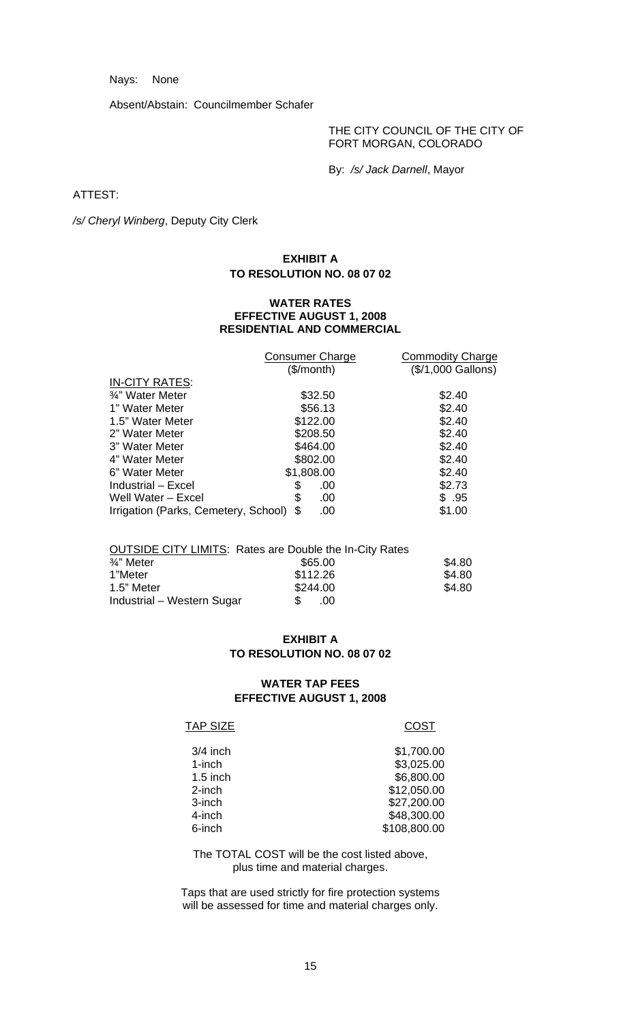Nays: None

Absent/Abstain: Councilmember Schafer

THE CITY COUNCIL OF THE CITY OF FORT MORGAN, COLORADO

By: */s/ Jack Darnell*, Mayor

ATTEST:

*/s/ Cheryl Winberg*, Deputy City Clerk

# **EXHIBIT A TO RESOLUTION NO. 08 07 02**

#### **WATER RATES EFFECTIVE AUGUST 1, 2008 RESIDENTIAL AND COMMERCIAL**

|                                      | <b>Consumer Charge</b> | <b>Commodity Charge</b> |
|--------------------------------------|------------------------|-------------------------|
|                                      | (\$/month)             | (\$/1,000 Gallons)      |
| <b>IN-CITY RATES:</b>                |                        |                         |
| 3/4" Water Meter                     | \$32.50                | \$2.40                  |
| 1" Water Meter                       | \$56.13                | \$2.40                  |
| 1.5" Water Meter                     | \$122.00               | \$2.40                  |
| 2" Water Meter                       | \$208.50               | \$2.40                  |
| 3" Water Meter                       | \$464.00               | \$2.40                  |
| 4" Water Meter                       | \$802.00               | \$2.40                  |
| 6" Water Meter                       | \$1,808.00             | \$2.40                  |
| Industrial - Excel                   | \$<br>.00              | \$2.73                  |
| Well Water - Excel                   | \$<br>.00              | \$.95                   |
| Irrigation (Parks, Cemetery, School) | .00                    | \$1.00                  |
|                                      |                        |                         |

|                            | <b>OUTSIDE CITY LIMITS: Rates are Double the In-City Rates</b> |        |
|----------------------------|----------------------------------------------------------------|--------|
| 3⁄4" Meter                 | \$65.00                                                        | \$4.80 |
| 1"Meter                    | \$112.26                                                       | \$4.80 |
| 1.5" Meter                 | \$244.00                                                       | \$4.80 |
| Industrial – Western Sugar | \$.<br>$.00 \cdot$                                             |        |

# **EXHIBIT A TO RESOLUTION NO. 08 07 02**

# **WATER TAP FEES EFFECTIVE AUGUST 1, 2008**

## TAP SIZE COST

| $3/4$ inch | \$1,700.00   |
|------------|--------------|
| 1-inch     | \$3,025.00   |
| $1.5$ inch | \$6,800.00   |
| 2-inch     | \$12,050.00  |
| 3-inch     | \$27,200.00  |
| 4-inch     | \$48,300.00  |
| 6-inch     | \$108,800.00 |
|            |              |

The TOTAL COST will be the cost listed above, plus time and material charges.

Taps that are used strictly for fire protection systems will be assessed for time and material charges only.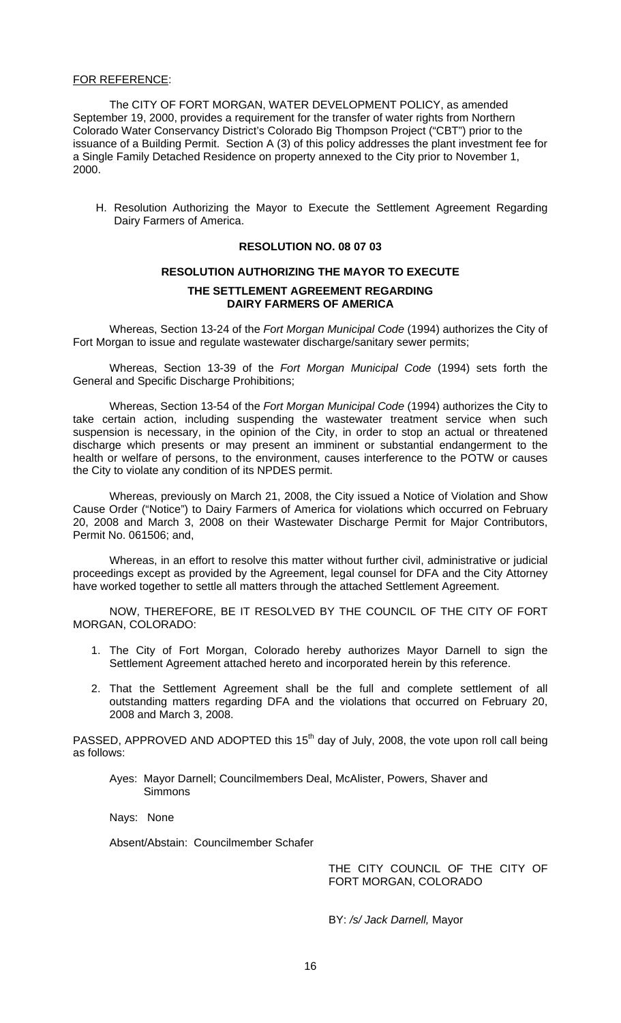## FOR REFERENCE:

The CITY OF FORT MORGAN, WATER DEVELOPMENT POLICY, as amended September 19, 2000, provides a requirement for the transfer of water rights from Northern Colorado Water Conservancy District's Colorado Big Thompson Project ("CBT") prior to the issuance of a Building Permit. Section A (3) of this policy addresses the plant investment fee for a Single Family Detached Residence on property annexed to the City prior to November 1, 2000.

H. Resolution Authorizing the Mayor to Execute the Settlement Agreement Regarding Dairy Farmers of America.

## **RESOLUTION NO. 08 07 03**

# **RESOLUTION AUTHORIZING THE MAYOR TO EXECUTE THE SETTLEMENT AGREEMENT REGARDING DAIRY FARMERS OF AMERICA**

Whereas, Section 13-24 of the *Fort Morgan Municipal Code* (1994) authorizes the City of Fort Morgan to issue and regulate wastewater discharge/sanitary sewer permits;

 Whereas, Section 13-39 of the *Fort Morgan Municipal Code* (1994) sets forth the General and Specific Discharge Prohibitions;

 Whereas, Section 13-54 of the *Fort Morgan Municipal Code* (1994) authorizes the City to take certain action, including suspending the wastewater treatment service when such suspension is necessary, in the opinion of the City, in order to stop an actual or threatened discharge which presents or may present an imminent or substantial endangerment to the health or welfare of persons, to the environment, causes interference to the POTW or causes the City to violate any condition of its NPDES permit.

 Whereas, previously on March 21, 2008, the City issued a Notice of Violation and Show Cause Order ("Notice") to Dairy Farmers of America for violations which occurred on February 20, 2008 and March 3, 2008 on their Wastewater Discharge Permit for Major Contributors, Permit No. 061506; and,

 Whereas, in an effort to resolve this matter without further civil, administrative or judicial proceedings except as provided by the Agreement, legal counsel for DFA and the City Attorney have worked together to settle all matters through the attached Settlement Agreement.

 NOW, THEREFORE, BE IT RESOLVED BY THE COUNCIL OF THE CITY OF FORT MORGAN, COLORADO:

- 1. The City of Fort Morgan, Colorado hereby authorizes Mayor Darnell to sign the Settlement Agreement attached hereto and incorporated herein by this reference.
- 2. That the Settlement Agreement shall be the full and complete settlement of all outstanding matters regarding DFA and the violations that occurred on February 20, 2008 and March 3, 2008.

PASSED, APPROVED AND ADOPTED this  $15<sup>th</sup>$  day of July, 2008, the vote upon roll call being as follows:

Ayes: Mayor Darnell; Councilmembers Deal, McAlister, Powers, Shaver and **Simmons** 

Nays: None

Absent/Abstain: Councilmember Schafer

THE CITY COUNCIL OF THE CITY OF FORT MORGAN, COLORADO

BY: */s/ Jack Darnell,* Mayor